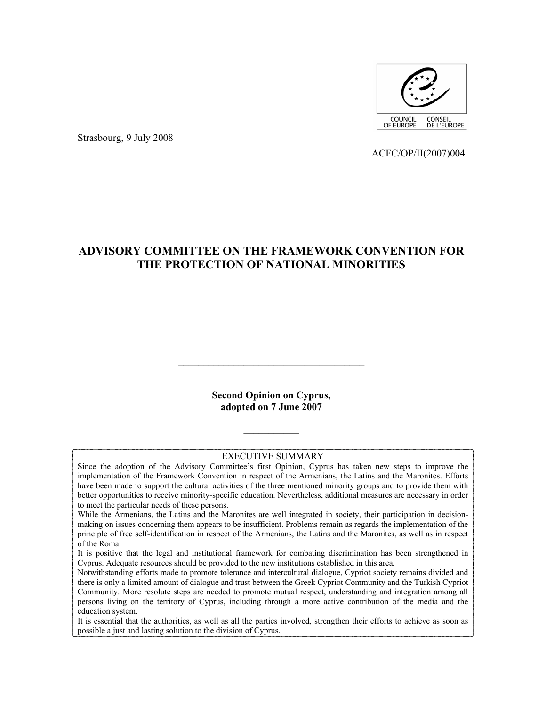

Strasbourg, 9 July 2008

ACFC/OP/II(2007)004

# **ADVISORY COMMITTEE ON THE FRAMEWORK CONVENTION FOR THE PROTECTION OF NATIONAL MINORITIES**

**Second Opinion on Cyprus, adopted on 7 June 2007** 

 $\mathcal{L}_\text{max}$ 

#### EXECUTIVE SUMMARY

 $\frac{1}{2}$ 

Since the adoption of the Advisory Committee's first Opinion, Cyprus has taken new steps to improve the implementation of the Framework Convention in respect of the Armenians, the Latins and the Maronites. Efforts have been made to support the cultural activities of the three mentioned minority groups and to provide them with better opportunities to receive minority-specific education. Nevertheless, additional measures are necessary in order to meet the particular needs of these persons.

While the Armenians, the Latins and the Maronites are well integrated in society, their participation in decisionmaking on issues concerning them appears to be insufficient. Problems remain as regards the implementation of the principle of free self-identification in respect of the Armenians, the Latins and the Maronites, as well as in respect of the Roma.

It is positive that the legal and institutional framework for combating discrimination has been strengthened in Cyprus. Adequate resources should be provided to the new institutions established in this area.

Notwithstanding efforts made to promote tolerance and intercultural dialogue, Cypriot society remains divided and there is only a limited amount of dialogue and trust between the Greek Cypriot Community and the Turkish Cypriot Community. More resolute steps are needed to promote mutual respect, understanding and integration among all persons living on the territory of Cyprus, including through a more active contribution of the media and the education system.

It is essential that the authorities, as well as all the parties involved, strengthen their efforts to achieve as soon as possible a just and lasting solution to the division of Cyprus.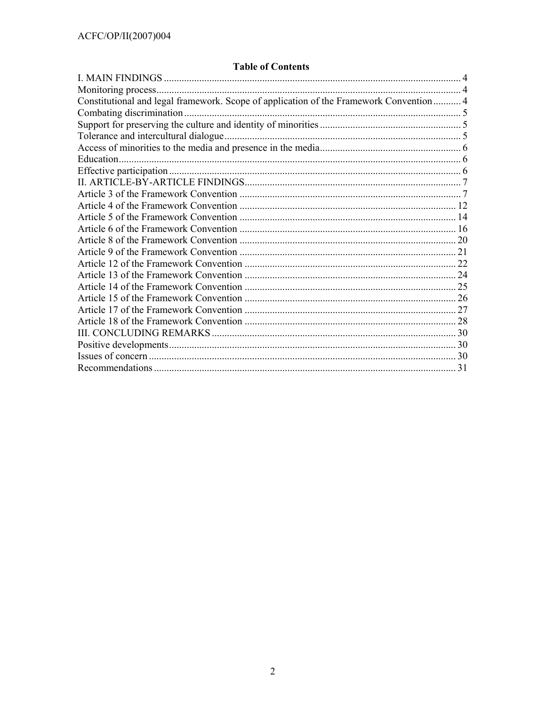# **Table of Contents**

| Constitutional and legal framework. Scope of application of the Framework Convention 4 |  |
|----------------------------------------------------------------------------------------|--|
|                                                                                        |  |
|                                                                                        |  |
|                                                                                        |  |
|                                                                                        |  |
|                                                                                        |  |
|                                                                                        |  |
|                                                                                        |  |
|                                                                                        |  |
|                                                                                        |  |
|                                                                                        |  |
|                                                                                        |  |
|                                                                                        |  |
|                                                                                        |  |
|                                                                                        |  |
|                                                                                        |  |
|                                                                                        |  |
|                                                                                        |  |
|                                                                                        |  |
|                                                                                        |  |
|                                                                                        |  |
|                                                                                        |  |
|                                                                                        |  |
|                                                                                        |  |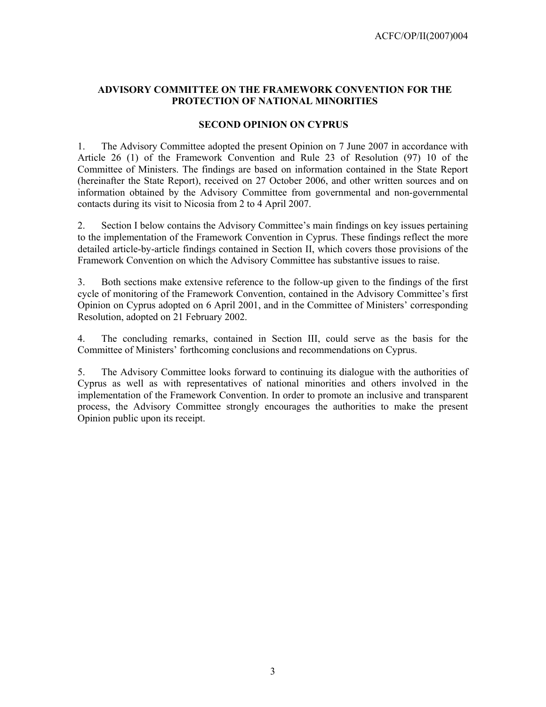### **ADVISORY COMMITTEE ON THE FRAMEWORK CONVENTION FOR THE PROTECTION OF NATIONAL MINORITIES**

#### **SECOND OPINION ON CYPRUS**

1. The Advisory Committee adopted the present Opinion on 7 June 2007 in accordance with Article 26 (1) of the Framework Convention and Rule 23 of Resolution (97) 10 of the Committee of Ministers. The findings are based on information contained in the State Report (hereinafter the State Report), received on 27 October 2006, and other written sources and on information obtained by the Advisory Committee from governmental and non-governmental contacts during its visit to Nicosia from 2 to 4 April 2007.

2. Section I below contains the Advisory Committee's main findings on key issues pertaining to the implementation of the Framework Convention in Cyprus. These findings reflect the more detailed article-by-article findings contained in Section II, which covers those provisions of the Framework Convention on which the Advisory Committee has substantive issues to raise.

3. Both sections make extensive reference to the follow-up given to the findings of the first cycle of monitoring of the Framework Convention, contained in the Advisory Committee's first Opinion on Cyprus adopted on 6 April 2001, and in the Committee of Ministers' corresponding Resolution, adopted on 21 February 2002.

4. The concluding remarks, contained in Section III, could serve as the basis for the Committee of Ministers' forthcoming conclusions and recommendations on Cyprus.

5. The Advisory Committee looks forward to continuing its dialogue with the authorities of Cyprus as well as with representatives of national minorities and others involved in the implementation of the Framework Convention. In order to promote an inclusive and transparent process, the Advisory Committee strongly encourages the authorities to make the present Opinion public upon its receipt.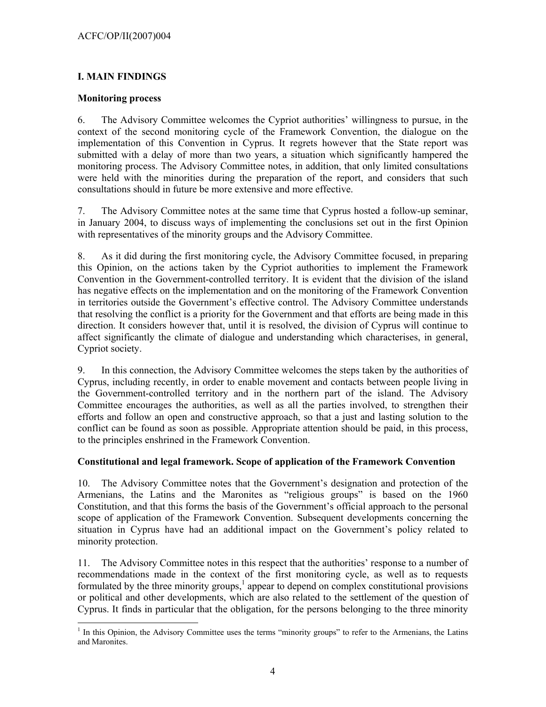## **I. MAIN FINDINGS**

### **Monitoring process**

 $\overline{a}$ 

6. The Advisory Committee welcomes the Cypriot authorities' willingness to pursue, in the context of the second monitoring cycle of the Framework Convention, the dialogue on the implementation of this Convention in Cyprus. It regrets however that the State report was submitted with a delay of more than two years, a situation which significantly hampered the monitoring process. The Advisory Committee notes, in addition, that only limited consultations were held with the minorities during the preparation of the report, and considers that such consultations should in future be more extensive and more effective.

7. The Advisory Committee notes at the same time that Cyprus hosted a follow-up seminar, in January 2004, to discuss ways of implementing the conclusions set out in the first Opinion with representatives of the minority groups and the Advisory Committee.

8. As it did during the first monitoring cycle, the Advisory Committee focused, in preparing this Opinion, on the actions taken by the Cypriot authorities to implement the Framework Convention in the Government-controlled territory. It is evident that the division of the island has negative effects on the implementation and on the monitoring of the Framework Convention in territories outside the Government's effective control. The Advisory Committee understands that resolving the conflict is a priority for the Government and that efforts are being made in this direction. It considers however that, until it is resolved, the division of Cyprus will continue to affect significantly the climate of dialogue and understanding which characterises, in general, Cypriot society.

9. In this connection, the Advisory Committee welcomes the steps taken by the authorities of Cyprus, including recently, in order to enable movement and contacts between people living in the Government-controlled territory and in the northern part of the island. The Advisory Committee encourages the authorities, as well as all the parties involved, to strengthen their efforts and follow an open and constructive approach, so that a just and lasting solution to the conflict can be found as soon as possible. Appropriate attention should be paid, in this process, to the principles enshrined in the Framework Convention.

## **Constitutional and legal framework. Scope of application of the Framework Convention**

10. The Advisory Committee notes that the Government's designation and protection of the Armenians, the Latins and the Maronites as "religious groups" is based on the 1960 Constitution, and that this forms the basis of the Government's official approach to the personal scope of application of the Framework Convention. Subsequent developments concerning the situation in Cyprus have had an additional impact on the Government's policy related to minority protection.

11. The Advisory Committee notes in this respect that the authorities' response to a number of recommendations made in the context of the first monitoring cycle, as well as to requests formulated by the three minority groups,<sup>1</sup> appear to depend on complex constitutional provisions or political and other developments, which are also related to the settlement of the question of Cyprus. It finds in particular that the obligation, for the persons belonging to the three minority

<sup>&</sup>lt;sup>1</sup> In this Opinion, the Advisory Committee uses the terms "minority groups" to refer to the Armenians, the Latins and Maronites.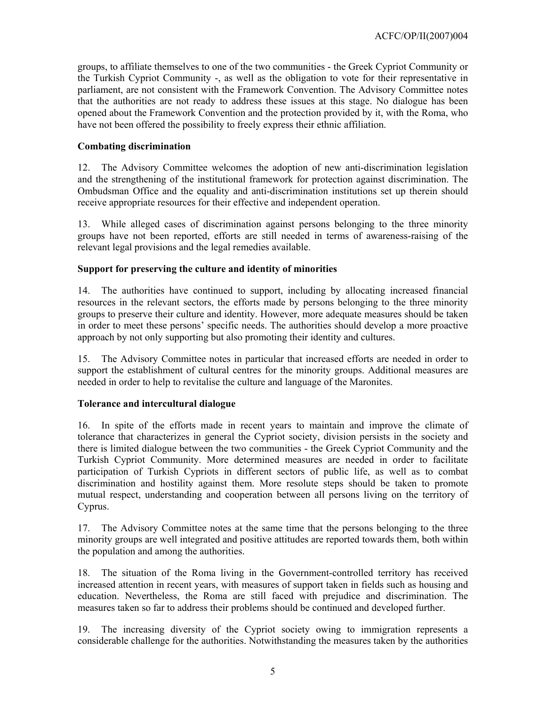groups, to affiliate themselves to one of the two communities - the Greek Cypriot Community or the Turkish Cypriot Community -, as well as the obligation to vote for their representative in parliament, are not consistent with the Framework Convention. The Advisory Committee notes that the authorities are not ready to address these issues at this stage. No dialogue has been opened about the Framework Convention and the protection provided by it, with the Roma, who have not been offered the possibility to freely express their ethnic affiliation.

## **Combating discrimination**

12. The Advisory Committee welcomes the adoption of new anti-discrimination legislation and the strengthening of the institutional framework for protection against discrimination. The Ombudsman Office and the equality and anti-discrimination institutions set up therein should receive appropriate resources for their effective and independent operation.

13. While alleged cases of discrimination against persons belonging to the three minority groups have not been reported, efforts are still needed in terms of awareness-raising of the relevant legal provisions and the legal remedies available.

## **Support for preserving the culture and identity of minorities**

14. The authorities have continued to support, including by allocating increased financial resources in the relevant sectors, the efforts made by persons belonging to the three minority groups to preserve their culture and identity. However, more adequate measures should be taken in order to meet these persons' specific needs. The authorities should develop a more proactive approach by not only supporting but also promoting their identity and cultures.

15. The Advisory Committee notes in particular that increased efforts are needed in order to support the establishment of cultural centres for the minority groups. Additional measures are needed in order to help to revitalise the culture and language of the Maronites.

## **Tolerance and intercultural dialogue**

16. In spite of the efforts made in recent years to maintain and improve the climate of tolerance that characterizes in general the Cypriot society, division persists in the society and there is limited dialogue between the two communities - the Greek Cypriot Community and the Turkish Cypriot Community. More determined measures are needed in order to facilitate participation of Turkish Cypriots in different sectors of public life, as well as to combat discrimination and hostility against them. More resolute steps should be taken to promote mutual respect, understanding and cooperation between all persons living on the territory of Cyprus.

17. The Advisory Committee notes at the same time that the persons belonging to the three minority groups are well integrated and positive attitudes are reported towards them, both within the population and among the authorities.

18. The situation of the Roma living in the Government-controlled territory has received increased attention in recent years, with measures of support taken in fields such as housing and education. Nevertheless, the Roma are still faced with prejudice and discrimination. The measures taken so far to address their problems should be continued and developed further.

19. The increasing diversity of the Cypriot society owing to immigration represents a considerable challenge for the authorities. Notwithstanding the measures taken by the authorities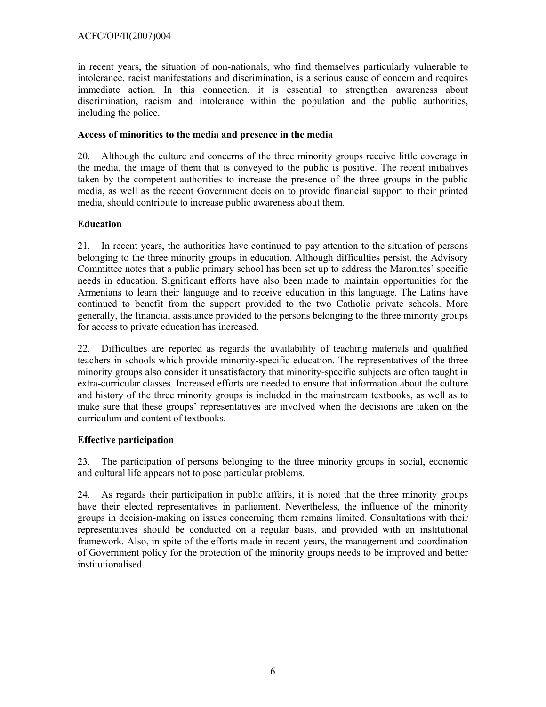in recent years, the situation of non-nationals, who find themselves particularly vulnerable to intolerance, racist manifestations and discrimination, is a serious cause of concern and requires immediate action. In this connection, it is essential to strengthen awareness about discrimination, racism and intolerance within the population and the public authorities, including the police.

## **Access of minorities to the media and presence in the media**

20. Although the culture and concerns of the three minority groups receive little coverage in the media, the image of them that is conveyed to the public is positive. The recent initiatives taken by the competent authorities to increase the presence of the three groups in the public media, as well as the recent Government decision to provide financial support to their printed media, should contribute to increase public awareness about them.

## **Education**

21. In recent years, the authorities have continued to pay attention to the situation of persons belonging to the three minority groups in education. Although difficulties persist, the Advisory Committee notes that a public primary school has been set up to address the Maronites' specific needs in education. Significant efforts have also been made to maintain opportunities for the Armenians to learn their language and to receive education in this language. The Latins have continued to benefit from the support provided to the two Catholic private schools. More generally, the financial assistance provided to the persons belonging to the three minority groups for access to private education has increased.

22. Difficulties are reported as regards the availability of teaching materials and qualified teachers in schools which provide minority-specific education. The representatives of the three minority groups also consider it unsatisfactory that minority-specific subjects are often taught in extra-curricular classes. Increased efforts are needed to ensure that information about the culture and history of the three minority groups is included in the mainstream textbooks, as well as to make sure that these groups' representatives are involved when the decisions are taken on the curriculum and content of textbooks.

## **Effective participation**

23. The participation of persons belonging to the three minority groups in social, economic and cultural life appears not to pose particular problems.

24. As regards their participation in public affairs, it is noted that the three minority groups have their elected representatives in parliament. Nevertheless, the influence of the minority groups in decision-making on issues concerning them remains limited. Consultations with their representatives should be conducted on a regular basis, and provided with an institutional framework. Also, in spite of the efforts made in recent years, the management and coordination of Government policy for the protection of the minority groups needs to be improved and better institutionalised.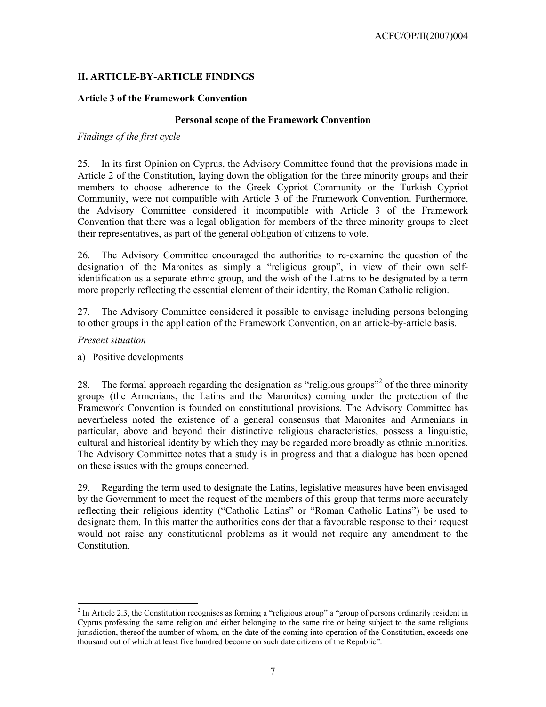## **II. ARTICLE-BY-ARTICLE FINDINGS**

## **Article 3 of the Framework Convention**

#### **Personal scope of the Framework Convention**

### *Findings of the first cycle*

25. In its first Opinion on Cyprus, the Advisory Committee found that the provisions made in Article 2 of the Constitution, laying down the obligation for the three minority groups and their members to choose adherence to the Greek Cypriot Community or the Turkish Cypriot Community, were not compatible with Article 3 of the Framework Convention. Furthermore, the Advisory Committee considered it incompatible with Article 3 of the Framework Convention that there was a legal obligation for members of the three minority groups to elect their representatives, as part of the general obligation of citizens to vote.

26. The Advisory Committee encouraged the authorities to re-examine the question of the designation of the Maronites as simply a "religious group", in view of their own selfidentification as a separate ethnic group, and the wish of the Latins to be designated by a term more properly reflecting the essential element of their identity, the Roman Catholic religion.

27. The Advisory Committee considered it possible to envisage including persons belonging to other groups in the application of the Framework Convention, on an article-by-article basis.

## *Present situation*

l

a) Positive developments

28. The formal approach regarding the designation as "religious groups"<sup>2</sup> of the three minority groups (the Armenians, the Latins and the Maronites) coming under the protection of the Framework Convention is founded on constitutional provisions. The Advisory Committee has nevertheless noted the existence of a general consensus that Maronites and Armenians in particular, above and beyond their distinctive religious characteristics, possess a linguistic, cultural and historical identity by which they may be regarded more broadly as ethnic minorities. The Advisory Committee notes that a study is in progress and that a dialogue has been opened on these issues with the groups concerned.

29. Regarding the term used to designate the Latins, legislative measures have been envisaged by the Government to meet the request of the members of this group that terms more accurately reflecting their religious identity ("Catholic Latins" or "Roman Catholic Latins") be used to designate them. In this matter the authorities consider that a favourable response to their request would not raise any constitutional problems as it would not require any amendment to the Constitution.

 $2^{2}$  In Article 2.3, the Constitution recognises as forming a "religious group" a "group of persons ordinarily resident in Cyprus professing the same religion and either belonging to the same rite or being subject to the same religious jurisdiction, thereof the number of whom, on the date of the coming into operation of the Constitution, exceeds one thousand out of which at least five hundred become on such date citizens of the Republic".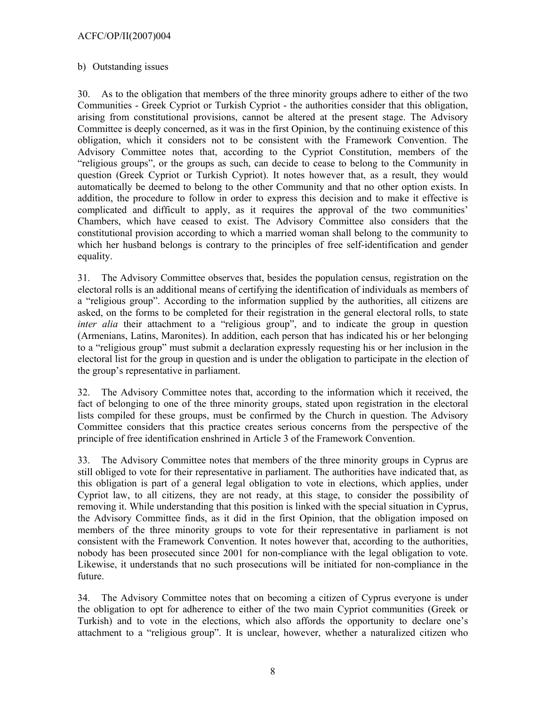## b) Outstanding issues

30. As to the obligation that members of the three minority groups adhere to either of the two Communities - Greek Cypriot or Turkish Cypriot - the authorities consider that this obligation, arising from constitutional provisions, cannot be altered at the present stage. The Advisory Committee is deeply concerned, as it was in the first Opinion, by the continuing existence of this obligation, which it considers not to be consistent with the Framework Convention. The Advisory Committee notes that, according to the Cypriot Constitution, members of the "religious groups", or the groups as such, can decide to cease to belong to the Community in question (Greek Cypriot or Turkish Cypriot). It notes however that, as a result, they would automatically be deemed to belong to the other Community and that no other option exists. In addition, the procedure to follow in order to express this decision and to make it effective is complicated and difficult to apply, as it requires the approval of the two communities' Chambers, which have ceased to exist. The Advisory Committee also considers that the constitutional provision according to which a married woman shall belong to the community to which her husband belongs is contrary to the principles of free self-identification and gender equality.

31. The Advisory Committee observes that, besides the population census, registration on the electoral rolls is an additional means of certifying the identification of individuals as members of a "religious group". According to the information supplied by the authorities, all citizens are asked, on the forms to be completed for their registration in the general electoral rolls, to state *inter alia* their attachment to a "religious group", and to indicate the group in question (Armenians, Latins, Maronites). In addition, each person that has indicated his or her belonging to a "religious group" must submit a declaration expressly requesting his or her inclusion in the electoral list for the group in question and is under the obligation to participate in the election of the group's representative in parliament.

32. The Advisory Committee notes that, according to the information which it received, the fact of belonging to one of the three minority groups, stated upon registration in the electoral lists compiled for these groups, must be confirmed by the Church in question. The Advisory Committee considers that this practice creates serious concerns from the perspective of the principle of free identification enshrined in Article 3 of the Framework Convention.

33. The Advisory Committee notes that members of the three minority groups in Cyprus are still obliged to vote for their representative in parliament. The authorities have indicated that, as this obligation is part of a general legal obligation to vote in elections, which applies, under Cypriot law, to all citizens, they are not ready, at this stage, to consider the possibility of removing it. While understanding that this position is linked with the special situation in Cyprus, the Advisory Committee finds, as it did in the first Opinion, that the obligation imposed on members of the three minority groups to vote for their representative in parliament is not consistent with the Framework Convention. It notes however that, according to the authorities, nobody has been prosecuted since 2001 for non-compliance with the legal obligation to vote. Likewise, it understands that no such prosecutions will be initiated for non-compliance in the future.

34. The Advisory Committee notes that on becoming a citizen of Cyprus everyone is under the obligation to opt for adherence to either of the two main Cypriot communities (Greek or Turkish) and to vote in the elections, which also affords the opportunity to declare one's attachment to a "religious group". It is unclear, however, whether a naturalized citizen who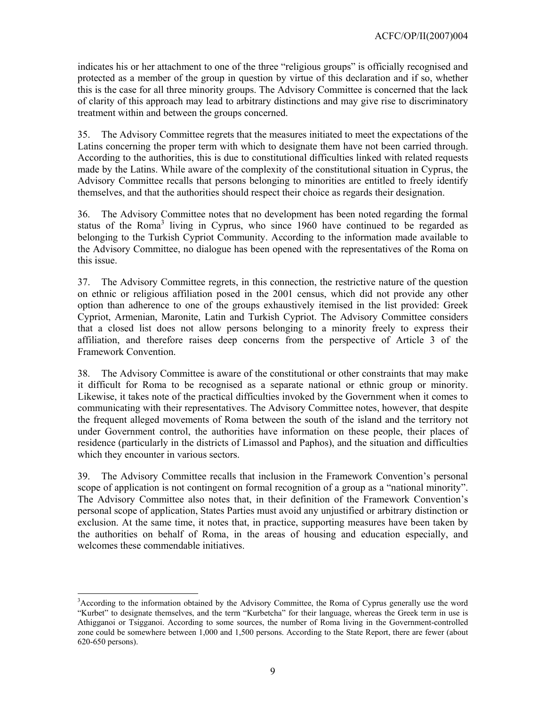indicates his or her attachment to one of the three "religious groups" is officially recognised and protected as a member of the group in question by virtue of this declaration and if so, whether this is the case for all three minority groups. The Advisory Committee is concerned that the lack of clarity of this approach may lead to arbitrary distinctions and may give rise to discriminatory treatment within and between the groups concerned.

35. The Advisory Committee regrets that the measures initiated to meet the expectations of the Latins concerning the proper term with which to designate them have not been carried through. According to the authorities, this is due to constitutional difficulties linked with related requests made by the Latins. While aware of the complexity of the constitutional situation in Cyprus, the Advisory Committee recalls that persons belonging to minorities are entitled to freely identify themselves, and that the authorities should respect their choice as regards their designation.

36. The Advisory Committee notes that no development has been noted regarding the formal status of the Roma<sup>3</sup> living in Cyprus, who since 1960 have continued to be regarded as belonging to the Turkish Cypriot Community. According to the information made available to the Advisory Committee, no dialogue has been opened with the representatives of the Roma on this issue.

37. The Advisory Committee regrets, in this connection, the restrictive nature of the question on ethnic or religious affiliation posed in the 2001 census, which did not provide any other option than adherence to one of the groups exhaustively itemised in the list provided: Greek Cypriot, Armenian, Maronite, Latin and Turkish Cypriot. The Advisory Committee considers that a closed list does not allow persons belonging to a minority freely to express their affiliation, and therefore raises deep concerns from the perspective of Article 3 of the Framework Convention.

38. The Advisory Committee is aware of the constitutional or other constraints that may make it difficult for Roma to be recognised as a separate national or ethnic group or minority. Likewise, it takes note of the practical difficulties invoked by the Government when it comes to communicating with their representatives. The Advisory Committee notes, however, that despite the frequent alleged movements of Roma between the south of the island and the territory not under Government control, the authorities have information on these people, their places of residence (particularly in the districts of Limassol and Paphos), and the situation and difficulties which they encounter in various sectors.

39. The Advisory Committee recalls that inclusion in the Framework Convention's personal scope of application is not contingent on formal recognition of a group as a "national minority". The Advisory Committee also notes that, in their definition of the Framework Convention's personal scope of application, States Parties must avoid any unjustified or arbitrary distinction or exclusion. At the same time, it notes that, in practice, supporting measures have been taken by the authorities on behalf of Roma, in the areas of housing and education especially, and welcomes these commendable initiatives.

l  $3$ According to the information obtained by the Advisory Committee, the Roma of Cyprus generally use the word "Kurbet" to designate themselves, and the term "Kurbetcha" for their language, whereas the Greek term in use is Athigganoi or Tsigganoi. According to some sources, the number of Roma living in the Government-controlled zone could be somewhere between 1,000 and 1,500 persons. According to the State Report, there are fewer (about 620-650 persons).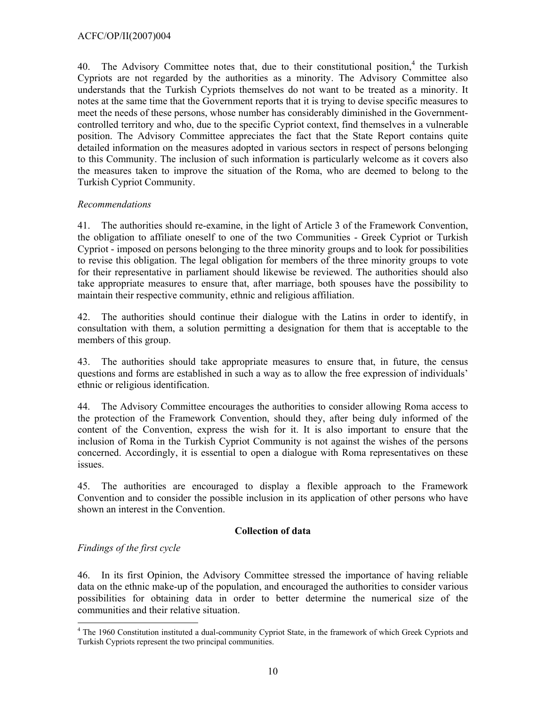40. The Advisory Committee notes that, due to their constitutional position,<sup>4</sup> the Turkish Cypriots are not regarded by the authorities as a minority. The Advisory Committee also understands that the Turkish Cypriots themselves do not want to be treated as a minority. It notes at the same time that the Government reports that it is trying to devise specific measures to meet the needs of these persons, whose number has considerably diminished in the Governmentcontrolled territory and who, due to the specific Cypriot context, find themselves in a vulnerable position. The Advisory Committee appreciates the fact that the State Report contains quite detailed information on the measures adopted in various sectors in respect of persons belonging to this Community. The inclusion of such information is particularly welcome as it covers also the measures taken to improve the situation of the Roma, who are deemed to belong to the Turkish Cypriot Community.

## *Recommendations*

41. The authorities should re-examine, in the light of Article 3 of the Framework Convention, the obligation to affiliate oneself to one of the two Communities - Greek Cypriot or Turkish Cypriot - imposed on persons belonging to the three minority groups and to look for possibilities to revise this obligation. The legal obligation for members of the three minority groups to vote for their representative in parliament should likewise be reviewed. The authorities should also take appropriate measures to ensure that, after marriage, both spouses have the possibility to maintain their respective community, ethnic and religious affiliation.

42. The authorities should continue their dialogue with the Latins in order to identify, in consultation with them, a solution permitting a designation for them that is acceptable to the members of this group.

43. The authorities should take appropriate measures to ensure that, in future, the census questions and forms are established in such a way as to allow the free expression of individuals' ethnic or religious identification.

44. The Advisory Committee encourages the authorities to consider allowing Roma access to the protection of the Framework Convention, should they, after being duly informed of the content of the Convention, express the wish for it. It is also important to ensure that the inclusion of Roma in the Turkish Cypriot Community is not against the wishes of the persons concerned. Accordingly, it is essential to open a dialogue with Roma representatives on these issues.

45. The authorities are encouraged to display a flexible approach to the Framework Convention and to consider the possible inclusion in its application of other persons who have shown an interest in the Convention.

## **Collection of data**

## *Findings of the first cycle*

46. In its first Opinion, the Advisory Committee stressed the importance of having reliable data on the ethnic make-up of the population, and encouraged the authorities to consider various possibilities for obtaining data in order to better determine the numerical size of the communities and their relative situation.

 $\overline{a}$ <sup>4</sup> The 1960 Constitution instituted a dual-community Cypriot State, in the framework of which Greek Cypriots and Turkish Cypriots represent the two principal communities.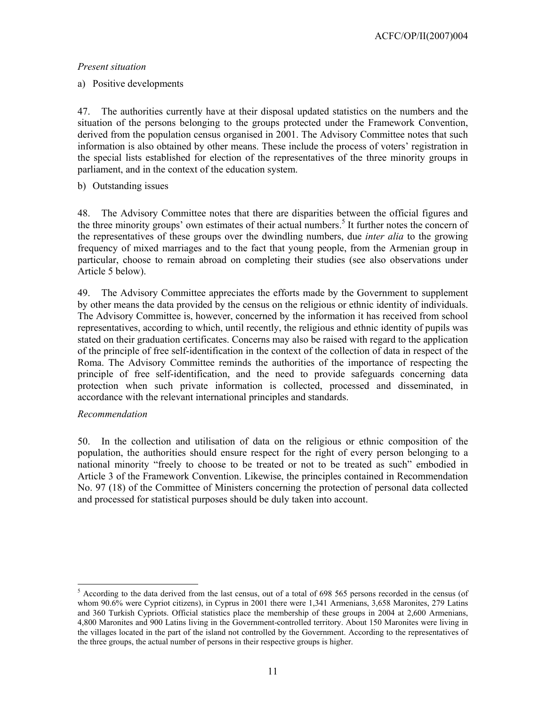## *Present situation*

a) Positive developments

47. The authorities currently have at their disposal updated statistics on the numbers and the situation of the persons belonging to the groups protected under the Framework Convention, derived from the population census organised in 2001. The Advisory Committee notes that such information is also obtained by other means. These include the process of voters' registration in the special lists established for election of the representatives of the three minority groups in parliament, and in the context of the education system.

b) Outstanding issues

48. The Advisory Committee notes that there are disparities between the official figures and the three minority groups' own estimates of their actual numbers.<sup>5</sup> It further notes the concern of the representatives of these groups over the dwindling numbers, due *inter alia* to the growing frequency of mixed marriages and to the fact that young people, from the Armenian group in particular, choose to remain abroad on completing their studies (see also observations under Article 5 below).

49. The Advisory Committee appreciates the efforts made by the Government to supplement by other means the data provided by the census on the religious or ethnic identity of individuals. The Advisory Committee is, however, concerned by the information it has received from school representatives, according to which, until recently, the religious and ethnic identity of pupils was stated on their graduation certificates. Concerns may also be raised with regard to the application of the principle of free self-identification in the context of the collection of data in respect of the Roma. The Advisory Committee reminds the authorities of the importance of respecting the principle of free self-identification, and the need to provide safeguards concerning data protection when such private information is collected, processed and disseminated, in accordance with the relevant international principles and standards.

## *Recommendation*

l

50. In the collection and utilisation of data on the religious or ethnic composition of the population, the authorities should ensure respect for the right of every person belonging to a national minority "freely to choose to be treated or not to be treated as such" embodied in Article 3 of the Framework Convention. Likewise, the principles contained in Recommendation No. 97 (18) of the Committee of Ministers concerning the protection of personal data collected and processed for statistical purposes should be duly taken into account.

 $<sup>5</sup>$  According to the data derived from the last census, out of a total of 698 565 persons recorded in the census (of</sup> whom 90.6% were Cypriot citizens), in Cyprus in 2001 there were 1,341 Armenians, 3,658 Maronites, 279 Latins and 360 Turkish Cypriots. Official statistics place the membership of these groups in 2004 at 2,600 Armenians, 4,800 Maronites and 900 Latins living in the Government-controlled territory. About 150 Maronites were living in the villages located in the part of the island not controlled by the Government. According to the representatives of the three groups, the actual number of persons in their respective groups is higher.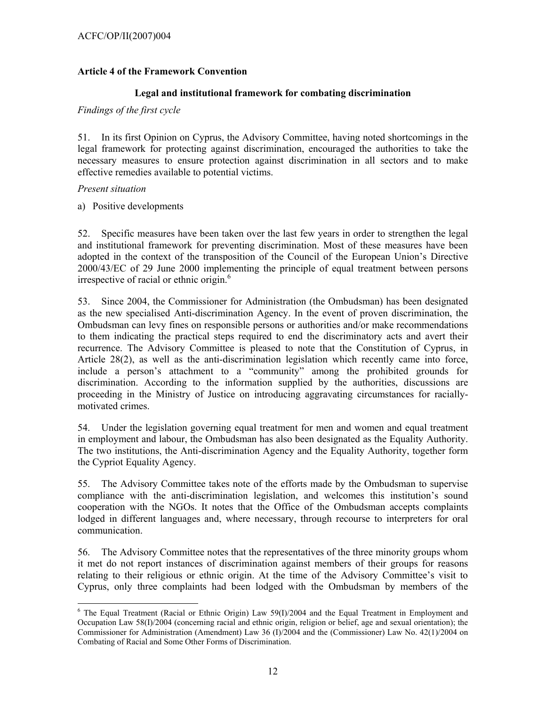### ACFC/OP/II(2007)004

### **Article 4 of the Framework Convention**

### **Legal and institutional framework for combating discrimination**

### *Findings of the first cycle*

51. In its first Opinion on Cyprus, the Advisory Committee, having noted shortcomings in the legal framework for protecting against discrimination, encouraged the authorities to take the necessary measures to ensure protection against discrimination in all sectors and to make effective remedies available to potential victims.

#### *Present situation*

a) Positive developments

52. Specific measures have been taken over the last few years in order to strengthen the legal and institutional framework for preventing discrimination. Most of these measures have been adopted in the context of the transposition of the Council of the European Union's Directive 2000/43/EC of 29 June 2000 implementing the principle of equal treatment between persons irrespective of racial or ethnic origin. $<sup>6</sup>$ </sup>

53. Since 2004, the Commissioner for Administration (the Ombudsman) has been designated as the new specialised Anti-discrimination Agency. In the event of proven discrimination, the Ombudsman can levy fines on responsible persons or authorities and/or make recommendations to them indicating the practical steps required to end the discriminatory acts and avert their recurrence. The Advisory Committee is pleased to note that the Constitution of Cyprus, in Article 28(2), as well as the anti-discrimination legislation which recently came into force, include a person's attachment to a "community" among the prohibited grounds for discrimination. According to the information supplied by the authorities, discussions are proceeding in the Ministry of Justice on introducing aggravating circumstances for raciallymotivated crimes.

54. Under the legislation governing equal treatment for men and women and equal treatment in employment and labour, the Ombudsman has also been designated as the Equality Authority. The two institutions, the Anti-discrimination Agency and the Equality Authority, together form the Cypriot Equality Agency.

55. The Advisory Committee takes note of the efforts made by the Ombudsman to supervise compliance with the anti-discrimination legislation, and welcomes this institution's sound cooperation with the NGOs. It notes that the Office of the Ombudsman accepts complaints lodged in different languages and, where necessary, through recourse to interpreters for oral communication.

56. The Advisory Committee notes that the representatives of the three minority groups whom it met do not report instances of discrimination against members of their groups for reasons relating to their religious or ethnic origin. At the time of the Advisory Committee's visit to Cyprus, only three complaints had been lodged with the Ombudsman by members of the

l  $6$  The Equal Treatment (Racial or Ethnic Origin) Law 59(I)/2004 and the Equal Treatment in Employment and Occupation Law 58(I)/2004 (concerning racial and ethnic origin, religion or belief, age and sexual orientation); the Commissioner for Administration (Amendment) Law 36 (I)/2004 and the (Commissioner) Law No. 42(1)/2004 on Combating of Racial and Some Other Forms of Discrimination.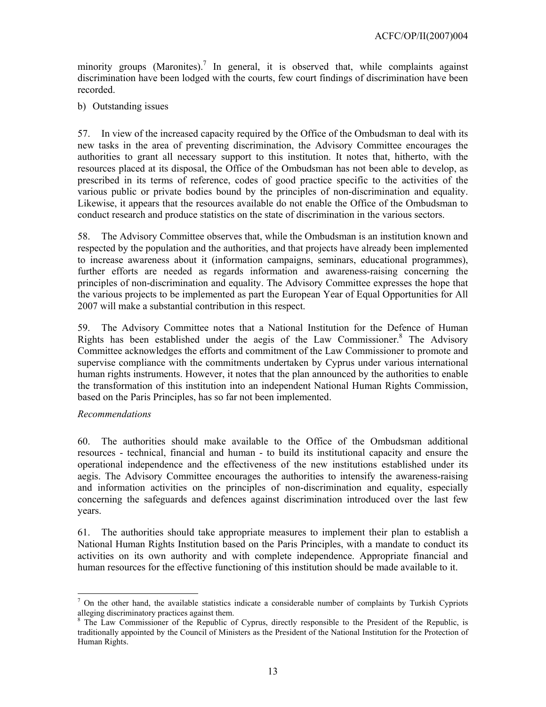minority groups (Maronites).<sup>7</sup> In general, it is observed that, while complaints against discrimination have been lodged with the courts, few court findings of discrimination have been recorded.

b) Outstanding issues

57. In view of the increased capacity required by the Office of the Ombudsman to deal with its new tasks in the area of preventing discrimination, the Advisory Committee encourages the authorities to grant all necessary support to this institution. It notes that, hitherto, with the resources placed at its disposal, the Office of the Ombudsman has not been able to develop, as prescribed in its terms of reference, codes of good practice specific to the activities of the various public or private bodies bound by the principles of non-discrimination and equality. Likewise, it appears that the resources available do not enable the Office of the Ombudsman to conduct research and produce statistics on the state of discrimination in the various sectors.

58. The Advisory Committee observes that, while the Ombudsman is an institution known and respected by the population and the authorities, and that projects have already been implemented to increase awareness about it (information campaigns, seminars, educational programmes), further efforts are needed as regards information and awareness-raising concerning the principles of non-discrimination and equality. The Advisory Committee expresses the hope that the various projects to be implemented as part the European Year of Equal Opportunities for All 2007 will make a substantial contribution in this respect.

59. The Advisory Committee notes that a National Institution for the Defence of Human Rights has been established under the aegis of the Law Commissioner.<sup>8</sup> The Advisory Committee acknowledges the efforts and commitment of the Law Commissioner to promote and supervise compliance with the commitments undertaken by Cyprus under various international human rights instruments. However, it notes that the plan announced by the authorities to enable the transformation of this institution into an independent National Human Rights Commission, based on the Paris Principles, has so far not been implemented.

## *Recommendations*

60. The authorities should make available to the Office of the Ombudsman additional resources - technical, financial and human - to build its institutional capacity and ensure the operational independence and the effectiveness of the new institutions established under its aegis. The Advisory Committee encourages the authorities to intensify the awareness-raising and information activities on the principles of non-discrimination and equality, especially concerning the safeguards and defences against discrimination introduced over the last few years.

61. The authorities should take appropriate measures to implement their plan to establish a National Human Rights Institution based on the Paris Principles, with a mandate to conduct its activities on its own authority and with complete independence. Appropriate financial and human resources for the effective functioning of this institution should be made available to it.

l  $<sup>7</sup>$  On the other hand, the available statistics indicate a considerable number of complaints by Turkish Cypriots</sup> alleging discriminatory practices against them.

<sup>&</sup>lt;sup>8</sup> The Law Commissioner of the Republic of Cyprus, directly responsible to the President of the Republic, is traditionally appointed by the Council of Ministers as the President of the National Institution for the Protection of Human Rights.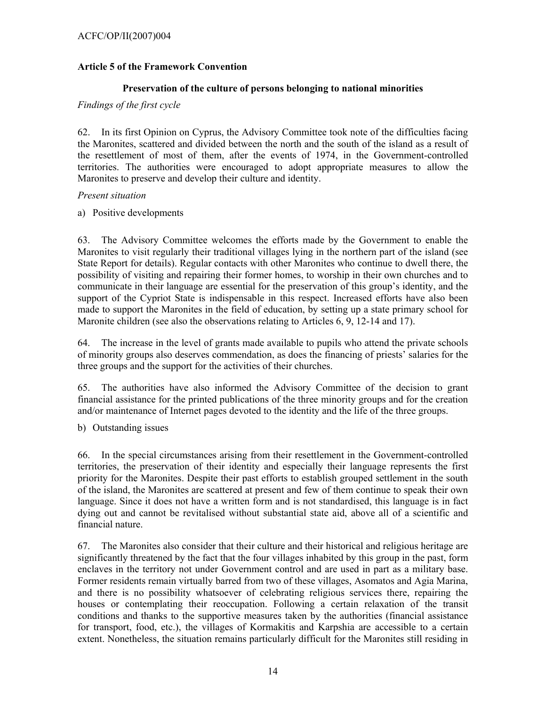### ACFC/OP/II(2007)004

### **Article 5 of the Framework Convention**

#### **Preservation of the culture of persons belonging to national minorities**

### *Findings of the first cycle*

62. In its first Opinion on Cyprus, the Advisory Committee took note of the difficulties facing the Maronites, scattered and divided between the north and the south of the island as a result of the resettlement of most of them, after the events of 1974, in the Government-controlled territories. The authorities were encouraged to adopt appropriate measures to allow the Maronites to preserve and develop their culture and identity.

#### *Present situation*

#### a) Positive developments

63. The Advisory Committee welcomes the efforts made by the Government to enable the Maronites to visit regularly their traditional villages lying in the northern part of the island (see State Report for details). Regular contacts with other Maronites who continue to dwell there, the possibility of visiting and repairing their former homes, to worship in their own churches and to communicate in their language are essential for the preservation of this group's identity, and the support of the Cypriot State is indispensable in this respect. Increased efforts have also been made to support the Maronites in the field of education, by setting up a state primary school for Maronite children (see also the observations relating to Articles 6, 9, 12-14 and 17).

64. The increase in the level of grants made available to pupils who attend the private schools of minority groups also deserves commendation, as does the financing of priests' salaries for the three groups and the support for the activities of their churches.

65. The authorities have also informed the Advisory Committee of the decision to grant financial assistance for the printed publications of the three minority groups and for the creation and/or maintenance of Internet pages devoted to the identity and the life of the three groups.

b) Outstanding issues

66. In the special circumstances arising from their resettlement in the Government-controlled territories, the preservation of their identity and especially their language represents the first priority for the Maronites. Despite their past efforts to establish grouped settlement in the south of the island, the Maronites are scattered at present and few of them continue to speak their own language. Since it does not have a written form and is not standardised, this language is in fact dying out and cannot be revitalised without substantial state aid, above all of a scientific and financial nature.

67. The Maronites also consider that their culture and their historical and religious heritage are significantly threatened by the fact that the four villages inhabited by this group in the past, form enclaves in the territory not under Government control and are used in part as a military base. Former residents remain virtually barred from two of these villages, Asomatos and Agia Marina, and there is no possibility whatsoever of celebrating religious services there, repairing the houses or contemplating their reoccupation. Following a certain relaxation of the transit conditions and thanks to the supportive measures taken by the authorities (financial assistance for transport, food, etc.), the villages of Kormakitis and Karpshia are accessible to a certain extent. Nonetheless, the situation remains particularly difficult for the Maronites still residing in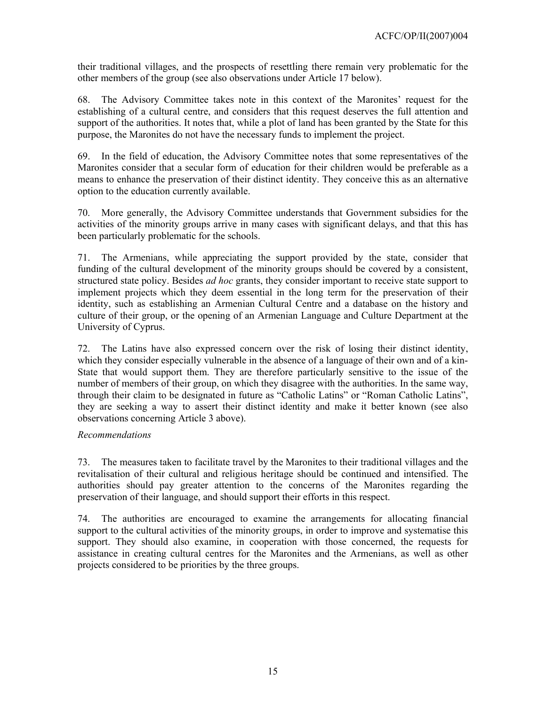their traditional villages, and the prospects of resettling there remain very problematic for the other members of the group (see also observations under Article 17 below).

68. The Advisory Committee takes note in this context of the Maronites' request for the establishing of a cultural centre, and considers that this request deserves the full attention and support of the authorities. It notes that, while a plot of land has been granted by the State for this purpose, the Maronites do not have the necessary funds to implement the project.

69. In the field of education, the Advisory Committee notes that some representatives of the Maronites consider that a secular form of education for their children would be preferable as a means to enhance the preservation of their distinct identity. They conceive this as an alternative option to the education currently available.

70. More generally, the Advisory Committee understands that Government subsidies for the activities of the minority groups arrive in many cases with significant delays, and that this has been particularly problematic for the schools.

71. The Armenians, while appreciating the support provided by the state, consider that funding of the cultural development of the minority groups should be covered by a consistent, structured state policy. Besides *ad hoc* grants, they consider important to receive state support to implement projects which they deem essential in the long term for the preservation of their identity, such as establishing an Armenian Cultural Centre and a database on the history and culture of their group, or the opening of an Armenian Language and Culture Department at the University of Cyprus.

72. The Latins have also expressed concern over the risk of losing their distinct identity, which they consider especially vulnerable in the absence of a language of their own and of a kin-State that would support them. They are therefore particularly sensitive to the issue of the number of members of their group, on which they disagree with the authorities. In the same way, through their claim to be designated in future as "Catholic Latins" or "Roman Catholic Latins", they are seeking a way to assert their distinct identity and make it better known (see also observations concerning Article 3 above).

## *Recommendations*

73. The measures taken to facilitate travel by the Maronites to their traditional villages and the revitalisation of their cultural and religious heritage should be continued and intensified. The authorities should pay greater attention to the concerns of the Maronites regarding the preservation of their language, and should support their efforts in this respect.

74. The authorities are encouraged to examine the arrangements for allocating financial support to the cultural activities of the minority groups, in order to improve and systematise this support. They should also examine, in cooperation with those concerned, the requests for assistance in creating cultural centres for the Maronites and the Armenians, as well as other projects considered to be priorities by the three groups.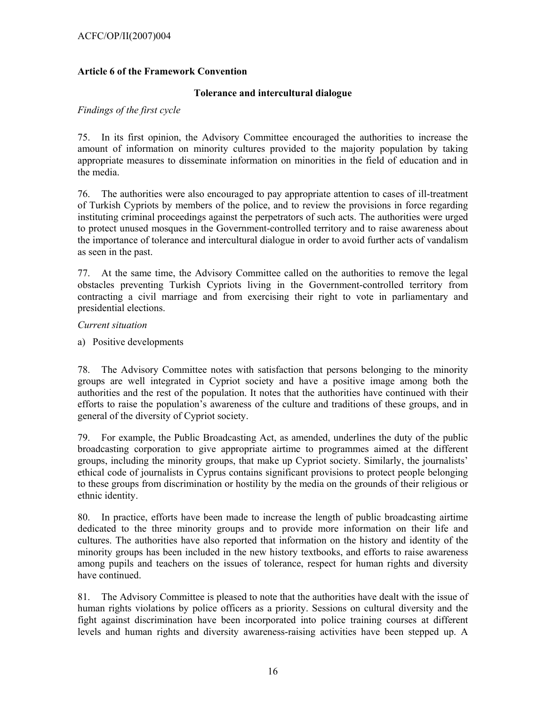### ACFC/OP/II(2007)004

### **Article 6 of the Framework Convention**

### **Tolerance and intercultural dialogue**

#### *Findings of the first cycle*

75. In its first opinion, the Advisory Committee encouraged the authorities to increase the amount of information on minority cultures provided to the majority population by taking appropriate measures to disseminate information on minorities in the field of education and in the media.

76. The authorities were also encouraged to pay appropriate attention to cases of ill-treatment of Turkish Cypriots by members of the police, and to review the provisions in force regarding instituting criminal proceedings against the perpetrators of such acts. The authorities were urged to protect unused mosques in the Government-controlled territory and to raise awareness about the importance of tolerance and intercultural dialogue in order to avoid further acts of vandalism as seen in the past.

77. At the same time, the Advisory Committee called on the authorities to remove the legal obstacles preventing Turkish Cypriots living in the Government-controlled territory from contracting a civil marriage and from exercising their right to vote in parliamentary and presidential elections.

#### *Current situation*

a) Positive developments

78. The Advisory Committee notes with satisfaction that persons belonging to the minority groups are well integrated in Cypriot society and have a positive image among both the authorities and the rest of the population. It notes that the authorities have continued with their efforts to raise the population's awareness of the culture and traditions of these groups, and in general of the diversity of Cypriot society.

79. For example, the Public Broadcasting Act, as amended, underlines the duty of the public broadcasting corporation to give appropriate airtime to programmes aimed at the different groups, including the minority groups, that make up Cypriot society. Similarly, the journalists' ethical code of journalists in Cyprus contains significant provisions to protect people belonging to these groups from discrimination or hostility by the media on the grounds of their religious or ethnic identity.

80. In practice, efforts have been made to increase the length of public broadcasting airtime dedicated to the three minority groups and to provide more information on their life and cultures. The authorities have also reported that information on the history and identity of the minority groups has been included in the new history textbooks, and efforts to raise awareness among pupils and teachers on the issues of tolerance, respect for human rights and diversity have continued.

81. The Advisory Committee is pleased to note that the authorities have dealt with the issue of human rights violations by police officers as a priority. Sessions on cultural diversity and the fight against discrimination have been incorporated into police training courses at different levels and human rights and diversity awareness-raising activities have been stepped up. A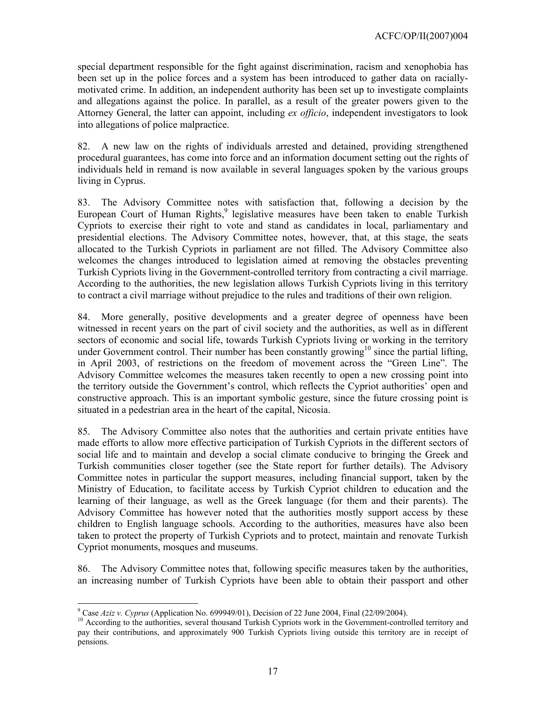special department responsible for the fight against discrimination, racism and xenophobia has been set up in the police forces and a system has been introduced to gather data on raciallymotivated crime. In addition, an independent authority has been set up to investigate complaints and allegations against the police. In parallel, as a result of the greater powers given to the Attorney General, the latter can appoint, including *ex officio*, independent investigators to look into allegations of police malpractice.

82. A new law on the rights of individuals arrested and detained, providing strengthened procedural guarantees, has come into force and an information document setting out the rights of individuals held in remand is now available in several languages spoken by the various groups living in Cyprus.

83. The Advisory Committee notes with satisfaction that, following a decision by the European Court of Human Rights,<sup>9</sup> legislative measures have been taken to enable Turkish Cypriots to exercise their right to vote and stand as candidates in local, parliamentary and presidential elections. The Advisory Committee notes, however, that, at this stage, the seats allocated to the Turkish Cypriots in parliament are not filled. The Advisory Committee also welcomes the changes introduced to legislation aimed at removing the obstacles preventing Turkish Cypriots living in the Government-controlled territory from contracting a civil marriage. According to the authorities, the new legislation allows Turkish Cypriots living in this territory to contract a civil marriage without prejudice to the rules and traditions of their own religion.

84. More generally, positive developments and a greater degree of openness have been witnessed in recent years on the part of civil society and the authorities, as well as in different sectors of economic and social life, towards Turkish Cypriots living or working in the territory under Government control. Their number has been constantly growing<sup>10</sup> since the partial lifting, in April 2003, of restrictions on the freedom of movement across the "Green Line". The Advisory Committee welcomes the measures taken recently to open a new crossing point into the territory outside the Government's control, which reflects the Cypriot authorities' open and constructive approach. This is an important symbolic gesture, since the future crossing point is situated in a pedestrian area in the heart of the capital, Nicosia.

85. The Advisory Committee also notes that the authorities and certain private entities have made efforts to allow more effective participation of Turkish Cypriots in the different sectors of social life and to maintain and develop a social climate conducive to bringing the Greek and Turkish communities closer together (see the State report for further details). The Advisory Committee notes in particular the support measures, including financial support, taken by the Ministry of Education, to facilitate access by Turkish Cypriot children to education and the learning of their language, as well as the Greek language (for them and their parents). The Advisory Committee has however noted that the authorities mostly support access by these children to English language schools. According to the authorities, measures have also been taken to protect the property of Turkish Cypriots and to protect, maintain and renovate Turkish Cypriot monuments, mosques and museums.

86. The Advisory Committee notes that, following specific measures taken by the authorities, an increasing number of Turkish Cypriots have been able to obtain their passport and other

l

<sup>&</sup>lt;sup>9</sup> Case Aziz v. Cyprus (Application No. 699949/01), Decision of 22 June 2004, Final (22/09/2004).

<sup>&</sup>lt;sup>10</sup> According to the authorities, several thousand Turkish Cypriots work in the Government-controlled territory and pay their contributions, and approximately 900 Turkish Cypriots living outside this territory are in receipt of pensions.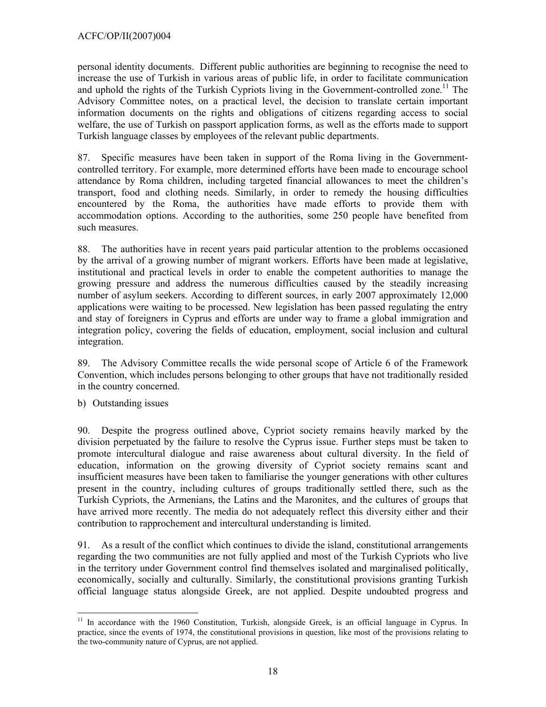personal identity documents. Different public authorities are beginning to recognise the need to increase the use of Turkish in various areas of public life, in order to facilitate communication and uphold the rights of the Turkish Cypriots living in the Government-controlled zone.<sup>11</sup> The Advisory Committee notes, on a practical level, the decision to translate certain important information documents on the rights and obligations of citizens regarding access to social welfare, the use of Turkish on passport application forms, as well as the efforts made to support Turkish language classes by employees of the relevant public departments.

87. Specific measures have been taken in support of the Roma living in the Governmentcontrolled territory. For example, more determined efforts have been made to encourage school attendance by Roma children, including targeted financial allowances to meet the children's transport, food and clothing needs. Similarly, in order to remedy the housing difficulties encountered by the Roma, the authorities have made efforts to provide them with accommodation options. According to the authorities, some 250 people have benefited from such measures.

88. The authorities have in recent years paid particular attention to the problems occasioned by the arrival of a growing number of migrant workers. Efforts have been made at legislative, institutional and practical levels in order to enable the competent authorities to manage the growing pressure and address the numerous difficulties caused by the steadily increasing number of asylum seekers. According to different sources, in early 2007 approximately 12,000 applications were waiting to be processed. New legislation has been passed regulating the entry and stay of foreigners in Cyprus and efforts are under way to frame a global immigration and integration policy, covering the fields of education, employment, social inclusion and cultural integration.

89. The Advisory Committee recalls the wide personal scope of Article 6 of the Framework Convention, which includes persons belonging to other groups that have not traditionally resided in the country concerned.

b) Outstanding issues

90. Despite the progress outlined above, Cypriot society remains heavily marked by the division perpetuated by the failure to resolve the Cyprus issue. Further steps must be taken to promote intercultural dialogue and raise awareness about cultural diversity. In the field of education, information on the growing diversity of Cypriot society remains scant and insufficient measures have been taken to familiarise the younger generations with other cultures present in the country, including cultures of groups traditionally settled there, such as the Turkish Cypriots, the Armenians, the Latins and the Maronites, and the cultures of groups that have arrived more recently. The media do not adequately reflect this diversity either and their contribution to rapprochement and intercultural understanding is limited.

91. As a result of the conflict which continues to divide the island, constitutional arrangements regarding the two communities are not fully applied and most of the Turkish Cypriots who live in the territory under Government control find themselves isolated and marginalised politically, economically, socially and culturally. Similarly, the constitutional provisions granting Turkish official language status alongside Greek, are not applied. Despite undoubted progress and

 $\overline{a}$ <sup>11</sup> In accordance with the 1960 Constitution, Turkish, alongside Greek, is an official language in Cyprus. In practice, since the events of 1974, the constitutional provisions in question, like most of the provisions relating to the two-community nature of Cyprus, are not applied.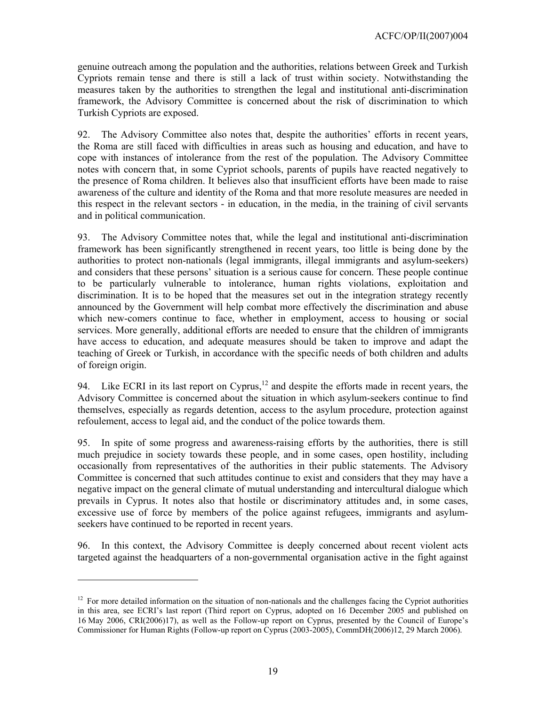genuine outreach among the population and the authorities, relations between Greek and Turkish Cypriots remain tense and there is still a lack of trust within society. Notwithstanding the measures taken by the authorities to strengthen the legal and institutional anti-discrimination framework, the Advisory Committee is concerned about the risk of discrimination to which Turkish Cypriots are exposed.

92. The Advisory Committee also notes that, despite the authorities' efforts in recent years, the Roma are still faced with difficulties in areas such as housing and education, and have to cope with instances of intolerance from the rest of the population. The Advisory Committee notes with concern that, in some Cypriot schools, parents of pupils have reacted negatively to the presence of Roma children. It believes also that insufficient efforts have been made to raise awareness of the culture and identity of the Roma and that more resolute measures are needed in this respect in the relevant sectors - in education, in the media, in the training of civil servants and in political communication.

93. The Advisory Committee notes that, while the legal and institutional anti-discrimination framework has been significantly strengthened in recent years, too little is being done by the authorities to protect non-nationals (legal immigrants, illegal immigrants and asylum-seekers) and considers that these persons' situation is a serious cause for concern. These people continue to be particularly vulnerable to intolerance, human rights violations, exploitation and discrimination. It is to be hoped that the measures set out in the integration strategy recently announced by the Government will help combat more effectively the discrimination and abuse which new-comers continue to face, whether in employment, access to housing or social services. More generally, additional efforts are needed to ensure that the children of immigrants have access to education, and adequate measures should be taken to improve and adapt the teaching of Greek or Turkish, in accordance with the specific needs of both children and adults of foreign origin.

94. Like ECRI in its last report on Cyprus, $12$  and despite the efforts made in recent years, the Advisory Committee is concerned about the situation in which asylum-seekers continue to find themselves, especially as regards detention, access to the asylum procedure, protection against refoulement, access to legal aid, and the conduct of the police towards them.

95. In spite of some progress and awareness-raising efforts by the authorities, there is still much prejudice in society towards these people, and in some cases, open hostility, including occasionally from representatives of the authorities in their public statements. The Advisory Committee is concerned that such attitudes continue to exist and considers that they may have a negative impact on the general climate of mutual understanding and intercultural dialogue which prevails in Cyprus. It notes also that hostile or discriminatory attitudes and, in some cases, excessive use of force by members of the police against refugees, immigrants and asylumseekers have continued to be reported in recent years.

96. In this context, the Advisory Committee is deeply concerned about recent violent acts targeted against the headquarters of a non-governmental organisation active in the fight against

 $\overline{a}$ 

 $12$  For more detailed information on the situation of non-nationals and the challenges facing the Cypriot authorities in this area, see ECRI's last report (Third report on Cyprus, adopted on 16 December 2005 and published on 16 May 2006, CRI(2006)17), as well as the Follow-up report on Cyprus, presented by the Council of Europe's Commissioner for Human Rights (Follow-up report on Cyprus (2003-2005), CommDH(2006)12, 29 March 2006).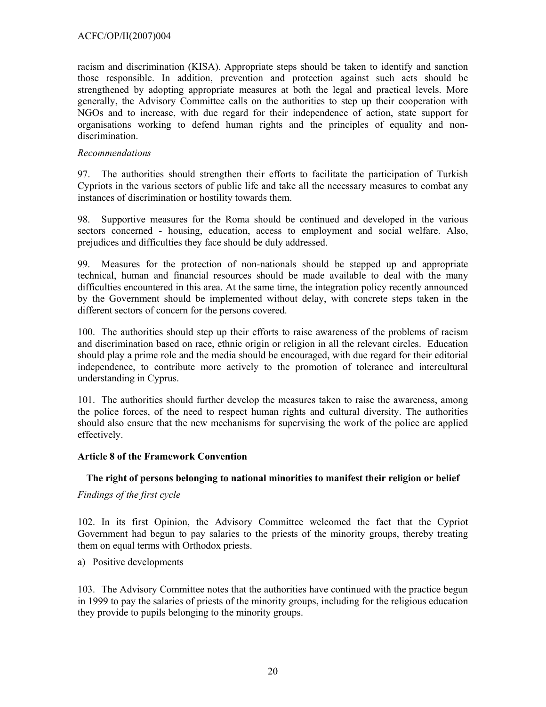racism and discrimination (KISA). Appropriate steps should be taken to identify and sanction those responsible. In addition, prevention and protection against such acts should be strengthened by adopting appropriate measures at both the legal and practical levels. More generally, the Advisory Committee calls on the authorities to step up their cooperation with NGOs and to increase, with due regard for their independence of action, state support for organisations working to defend human rights and the principles of equality and nondiscrimination.

### *Recommendations*

97. The authorities should strengthen their efforts to facilitate the participation of Turkish Cypriots in the various sectors of public life and take all the necessary measures to combat any instances of discrimination or hostility towards them.

98. Supportive measures for the Roma should be continued and developed in the various sectors concerned - housing, education, access to employment and social welfare. Also, prejudices and difficulties they face should be duly addressed.

99. Measures for the protection of non-nationals should be stepped up and appropriate technical, human and financial resources should be made available to deal with the many difficulties encountered in this area. At the same time, the integration policy recently announced by the Government should be implemented without delay, with concrete steps taken in the different sectors of concern for the persons covered.

100. The authorities should step up their efforts to raise awareness of the problems of racism and discrimination based on race, ethnic origin or religion in all the relevant circles. Education should play a prime role and the media should be encouraged, with due regard for their editorial independence, to contribute more actively to the promotion of tolerance and intercultural understanding in Cyprus.

101. The authorities should further develop the measures taken to raise the awareness, among the police forces, of the need to respect human rights and cultural diversity. The authorities should also ensure that the new mechanisms for supervising the work of the police are applied effectively.

## **Article 8 of the Framework Convention**

## **The right of persons belonging to national minorities to manifest their religion or belief**

#### *Findings of the first cycle*

102. In its first Opinion, the Advisory Committee welcomed the fact that the Cypriot Government had begun to pay salaries to the priests of the minority groups, thereby treating them on equal terms with Orthodox priests.

a) Positive developments

103. The Advisory Committee notes that the authorities have continued with the practice begun in 1999 to pay the salaries of priests of the minority groups, including for the religious education they provide to pupils belonging to the minority groups.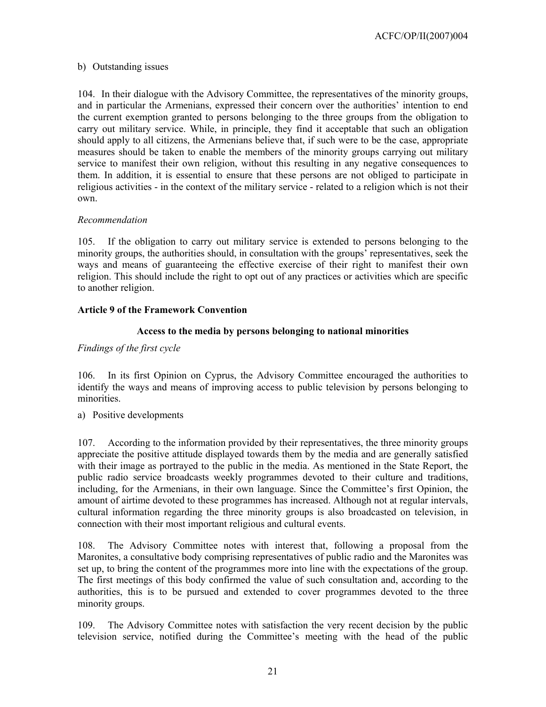## b) Outstanding issues

104. In their dialogue with the Advisory Committee, the representatives of the minority groups, and in particular the Armenians, expressed their concern over the authorities' intention to end the current exemption granted to persons belonging to the three groups from the obligation to carry out military service. While, in principle, they find it acceptable that such an obligation should apply to all citizens, the Armenians believe that, if such were to be the case, appropriate measures should be taken to enable the members of the minority groups carrying out military service to manifest their own religion, without this resulting in any negative consequences to them. In addition, it is essential to ensure that these persons are not obliged to participate in religious activities - in the context of the military service - related to a religion which is not their own.

## *Recommendation*

105. If the obligation to carry out military service is extended to persons belonging to the minority groups, the authorities should, in consultation with the groups' representatives, seek the ways and means of guaranteeing the effective exercise of their right to manifest their own religion. This should include the right to opt out of any practices or activities which are specific to another religion.

## **Article 9 of the Framework Convention**

## **Access to the media by persons belonging to national minorities**

## *Findings of the first cycle*

106. In its first Opinion on Cyprus, the Advisory Committee encouraged the authorities to identify the ways and means of improving access to public television by persons belonging to minorities.

a) Positive developments

107. According to the information provided by their representatives, the three minority groups appreciate the positive attitude displayed towards them by the media and are generally satisfied with their image as portrayed to the public in the media. As mentioned in the State Report, the public radio service broadcasts weekly programmes devoted to their culture and traditions, including, for the Armenians, in their own language. Since the Committee's first Opinion, the amount of airtime devoted to these programmes has increased. Although not at regular intervals, cultural information regarding the three minority groups is also broadcasted on television, in connection with their most important religious and cultural events.

108. The Advisory Committee notes with interest that, following a proposal from the Maronites, a consultative body comprising representatives of public radio and the Maronites was set up, to bring the content of the programmes more into line with the expectations of the group. The first meetings of this body confirmed the value of such consultation and, according to the authorities, this is to be pursued and extended to cover programmes devoted to the three minority groups.

109. The Advisory Committee notes with satisfaction the very recent decision by the public television service, notified during the Committee's meeting with the head of the public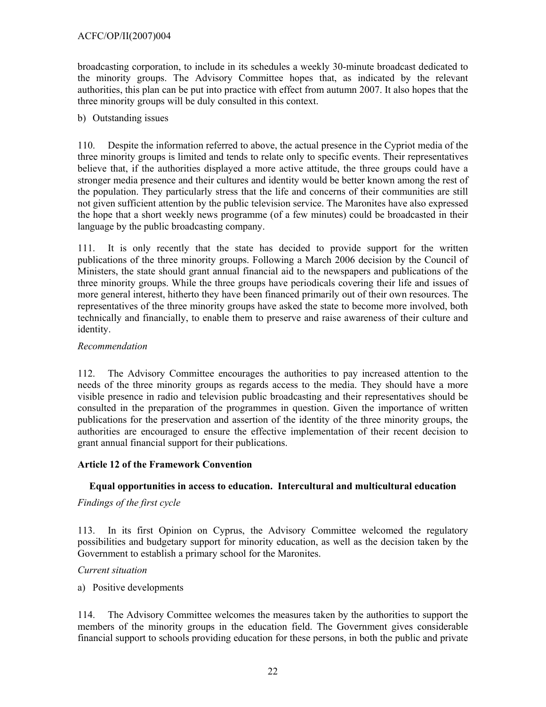broadcasting corporation, to include in its schedules a weekly 30-minute broadcast dedicated to the minority groups. The Advisory Committee hopes that, as indicated by the relevant authorities, this plan can be put into practice with effect from autumn 2007. It also hopes that the three minority groups will be duly consulted in this context.

### b) Outstanding issues

110. Despite the information referred to above, the actual presence in the Cypriot media of the three minority groups is limited and tends to relate only to specific events. Their representatives believe that, if the authorities displayed a more active attitude, the three groups could have a stronger media presence and their cultures and identity would be better known among the rest of the population. They particularly stress that the life and concerns of their communities are still not given sufficient attention by the public television service. The Maronites have also expressed the hope that a short weekly news programme (of a few minutes) could be broadcasted in their language by the public broadcasting company.

111. It is only recently that the state has decided to provide support for the written publications of the three minority groups. Following a March 2006 decision by the Council of Ministers, the state should grant annual financial aid to the newspapers and publications of the three minority groups. While the three groups have periodicals covering their life and issues of more general interest, hitherto they have been financed primarily out of their own resources. The representatives of the three minority groups have asked the state to become more involved, both technically and financially, to enable them to preserve and raise awareness of their culture and identity.

### *Recommendation*

112. The Advisory Committee encourages the authorities to pay increased attention to the needs of the three minority groups as regards access to the media. They should have a more visible presence in radio and television public broadcasting and their representatives should be consulted in the preparation of the programmes in question. Given the importance of written publications for the preservation and assertion of the identity of the three minority groups, the authorities are encouraged to ensure the effective implementation of their recent decision to grant annual financial support for their publications.

## **Article 12 of the Framework Convention**

## **Equal opportunities in access to education. Intercultural and multicultural education**

## *Findings of the first cycle*

113. In its first Opinion on Cyprus, the Advisory Committee welcomed the regulatory possibilities and budgetary support for minority education, as well as the decision taken by the Government to establish a primary school for the Maronites.

#### *Current situation*

a) Positive developments

114. The Advisory Committee welcomes the measures taken by the authorities to support the members of the minority groups in the education field. The Government gives considerable financial support to schools providing education for these persons, in both the public and private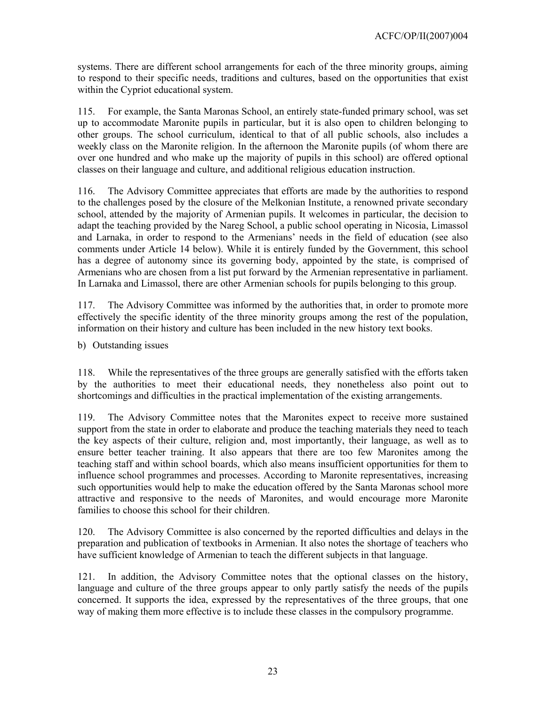systems. There are different school arrangements for each of the three minority groups, aiming to respond to their specific needs, traditions and cultures, based on the opportunities that exist within the Cypriot educational system.

115. For example, the Santa Maronas School, an entirely state-funded primary school, was set up to accommodate Maronite pupils in particular, but it is also open to children belonging to other groups. The school curriculum, identical to that of all public schools, also includes a weekly class on the Maronite religion. In the afternoon the Maronite pupils (of whom there are over one hundred and who make up the majority of pupils in this school) are offered optional classes on their language and culture, and additional religious education instruction.

116. The Advisory Committee appreciates that efforts are made by the authorities to respond to the challenges posed by the closure of the Melkonian Institute, a renowned private secondary school, attended by the majority of Armenian pupils. It welcomes in particular, the decision to adapt the teaching provided by the Nareg School, a public school operating in Nicosia, Limassol and Larnaka, in order to respond to the Armenians' needs in the field of education (see also comments under Article 14 below). While it is entirely funded by the Government, this school has a degree of autonomy since its governing body, appointed by the state, is comprised of Armenians who are chosen from a list put forward by the Armenian representative in parliament. In Larnaka and Limassol, there are other Armenian schools for pupils belonging to this group.

117. The Advisory Committee was informed by the authorities that, in order to promote more effectively the specific identity of the three minority groups among the rest of the population, information on their history and culture has been included in the new history text books.

b) Outstanding issues

118. While the representatives of the three groups are generally satisfied with the efforts taken by the authorities to meet their educational needs, they nonetheless also point out to shortcomings and difficulties in the practical implementation of the existing arrangements.

119. The Advisory Committee notes that the Maronites expect to receive more sustained support from the state in order to elaborate and produce the teaching materials they need to teach the key aspects of their culture, religion and, most importantly, their language, as well as to ensure better teacher training. It also appears that there are too few Maronites among the teaching staff and within school boards, which also means insufficient opportunities for them to influence school programmes and processes. According to Maronite representatives, increasing such opportunities would help to make the education offered by the Santa Maronas school more attractive and responsive to the needs of Maronites, and would encourage more Maronite families to choose this school for their children.

120. The Advisory Committee is also concerned by the reported difficulties and delays in the preparation and publication of textbooks in Armenian. It also notes the shortage of teachers who have sufficient knowledge of Armenian to teach the different subjects in that language.

121. In addition, the Advisory Committee notes that the optional classes on the history, language and culture of the three groups appear to only partly satisfy the needs of the pupils concerned. It supports the idea, expressed by the representatives of the three groups, that one way of making them more effective is to include these classes in the compulsory programme.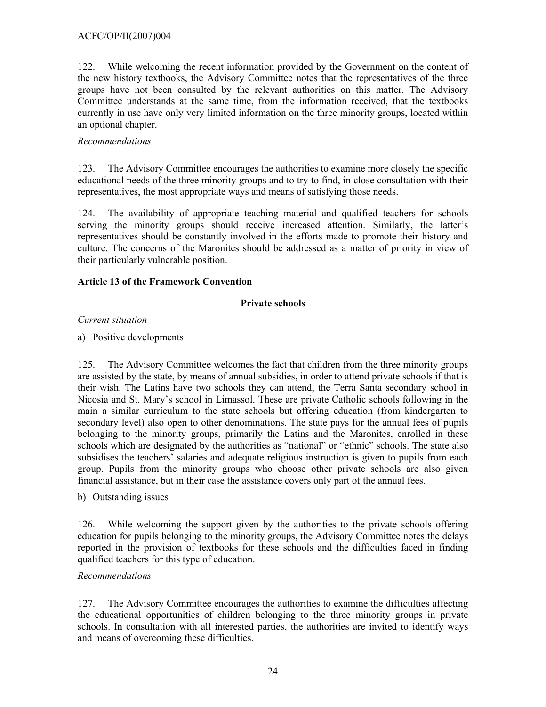## ACFC/OP/II(2007)004

122. While welcoming the recent information provided by the Government on the content of the new history textbooks, the Advisory Committee notes that the representatives of the three groups have not been consulted by the relevant authorities on this matter. The Advisory Committee understands at the same time, from the information received, that the textbooks currently in use have only very limited information on the three minority groups, located within an optional chapter.

## *Recommendations*

123. The Advisory Committee encourages the authorities to examine more closely the specific educational needs of the three minority groups and to try to find, in close consultation with their representatives, the most appropriate ways and means of satisfying those needs.

124. The availability of appropriate teaching material and qualified teachers for schools serving the minority groups should receive increased attention. Similarly, the latter's representatives should be constantly involved in the efforts made to promote their history and culture. The concerns of the Maronites should be addressed as a matter of priority in view of their particularly vulnerable position.

## **Article 13 of the Framework Convention**

## **Private schools**

## *Current situation*

a) Positive developments

125. The Advisory Committee welcomes the fact that children from the three minority groups are assisted by the state, by means of annual subsidies, in order to attend private schools if that is their wish. The Latins have two schools they can attend, the Terra Santa secondary school in Nicosia and St. Mary's school in Limassol. These are private Catholic schools following in the main a similar curriculum to the state schools but offering education (from kindergarten to secondary level) also open to other denominations. The state pays for the annual fees of pupils belonging to the minority groups, primarily the Latins and the Maronites, enrolled in these schools which are designated by the authorities as "national" or "ethnic" schools. The state also subsidises the teachers' salaries and adequate religious instruction is given to pupils from each group. Pupils from the minority groups who choose other private schools are also given financial assistance, but in their case the assistance covers only part of the annual fees.

b) Outstanding issues

126. While welcoming the support given by the authorities to the private schools offering education for pupils belonging to the minority groups, the Advisory Committee notes the delays reported in the provision of textbooks for these schools and the difficulties faced in finding qualified teachers for this type of education.

## *Recommendations*

127. The Advisory Committee encourages the authorities to examine the difficulties affecting the educational opportunities of children belonging to the three minority groups in private schools. In consultation with all interested parties, the authorities are invited to identify ways and means of overcoming these difficulties.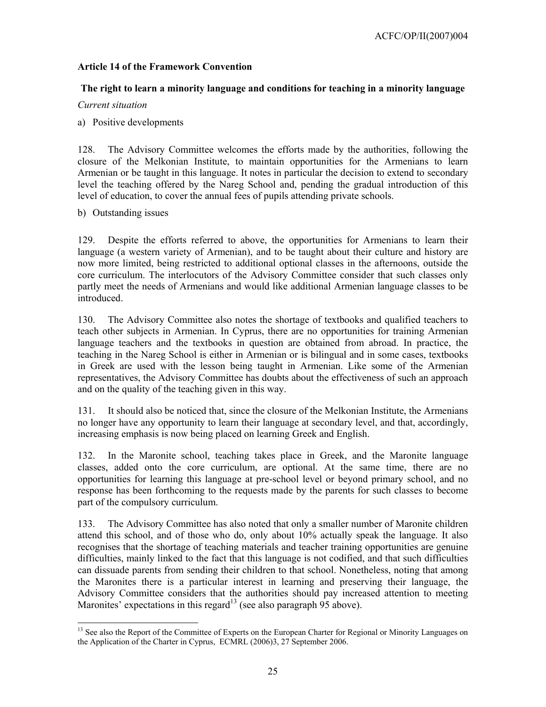## **Article 14 of the Framework Convention**

## **The right to learn a minority language and conditions for teaching in a minority language**

### *Current situation*

a) Positive developments

128. The Advisory Committee welcomes the efforts made by the authorities, following the closure of the Melkonian Institute, to maintain opportunities for the Armenians to learn Armenian or be taught in this language. It notes in particular the decision to extend to secondary level the teaching offered by the Nareg School and, pending the gradual introduction of this level of education, to cover the annual fees of pupils attending private schools.

### b) Outstanding issues

 $\overline{a}$ 

129. Despite the efforts referred to above, the opportunities for Armenians to learn their language (a western variety of Armenian), and to be taught about their culture and history are now more limited, being restricted to additional optional classes in the afternoons, outside the core curriculum. The interlocutors of the Advisory Committee consider that such classes only partly meet the needs of Armenians and would like additional Armenian language classes to be introduced.

130. The Advisory Committee also notes the shortage of textbooks and qualified teachers to teach other subjects in Armenian. In Cyprus, there are no opportunities for training Armenian language teachers and the textbooks in question are obtained from abroad. In practice, the teaching in the Nareg School is either in Armenian or is bilingual and in some cases, textbooks in Greek are used with the lesson being taught in Armenian. Like some of the Armenian representatives, the Advisory Committee has doubts about the effectiveness of such an approach and on the quality of the teaching given in this way.

131. It should also be noticed that, since the closure of the Melkonian Institute, the Armenians no longer have any opportunity to learn their language at secondary level, and that, accordingly, increasing emphasis is now being placed on learning Greek and English.

132. In the Maronite school, teaching takes place in Greek, and the Maronite language classes, added onto the core curriculum, are optional. At the same time, there are no opportunities for learning this language at pre-school level or beyond primary school, and no response has been forthcoming to the requests made by the parents for such classes to become part of the compulsory curriculum.

133. The Advisory Committee has also noted that only a smaller number of Maronite children attend this school, and of those who do, only about 10% actually speak the language. It also recognises that the shortage of teaching materials and teacher training opportunities are genuine difficulties, mainly linked to the fact that this language is not codified, and that such difficulties can dissuade parents from sending their children to that school. Nonetheless, noting that among the Maronites there is a particular interest in learning and preserving their language, the Advisory Committee considers that the authorities should pay increased attention to meeting Maronites' expectations in this regard<sup>13</sup> (see also paragraph  $95$  above).

<sup>&</sup>lt;sup>13</sup> See also the Report of the Committee of Experts on the European Charter for Regional or Minority Languages on the Application of the Charter in Cyprus, ECMRL (2006)3, 27 September 2006.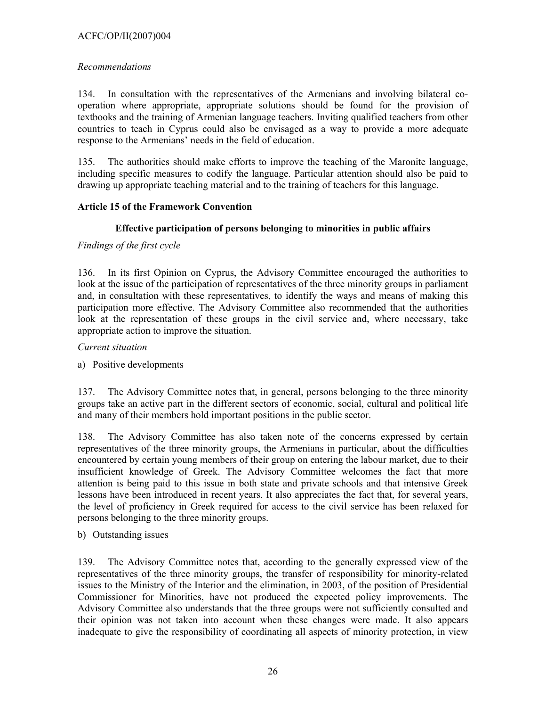## ACFC/OP/II(2007)004

## *Recommendations*

134. In consultation with the representatives of the Armenians and involving bilateral cooperation where appropriate, appropriate solutions should be found for the provision of textbooks and the training of Armenian language teachers. Inviting qualified teachers from other countries to teach in Cyprus could also be envisaged as a way to provide a more adequate response to the Armenians' needs in the field of education.

135. The authorities should make efforts to improve the teaching of the Maronite language, including specific measures to codify the language. Particular attention should also be paid to drawing up appropriate teaching material and to the training of teachers for this language.

## **Article 15 of the Framework Convention**

## **Effective participation of persons belonging to minorities in public affairs**

## *Findings of the first cycle*

136. In its first Opinion on Cyprus, the Advisory Committee encouraged the authorities to look at the issue of the participation of representatives of the three minority groups in parliament and, in consultation with these representatives, to identify the ways and means of making this participation more effective. The Advisory Committee also recommended that the authorities look at the representation of these groups in the civil service and, where necessary, take appropriate action to improve the situation.

## *Current situation*

## a) Positive developments

137. The Advisory Committee notes that, in general, persons belonging to the three minority groups take an active part in the different sectors of economic, social, cultural and political life and many of their members hold important positions in the public sector.

138. The Advisory Committee has also taken note of the concerns expressed by certain representatives of the three minority groups, the Armenians in particular, about the difficulties encountered by certain young members of their group on entering the labour market, due to their insufficient knowledge of Greek. The Advisory Committee welcomes the fact that more attention is being paid to this issue in both state and private schools and that intensive Greek lessons have been introduced in recent years. It also appreciates the fact that, for several years, the level of proficiency in Greek required for access to the civil service has been relaxed for persons belonging to the three minority groups.

## b) Outstanding issues

139. The Advisory Committee notes that, according to the generally expressed view of the representatives of the three minority groups, the transfer of responsibility for minority-related issues to the Ministry of the Interior and the elimination, in 2003, of the position of Presidential Commissioner for Minorities, have not produced the expected policy improvements. The Advisory Committee also understands that the three groups were not sufficiently consulted and their opinion was not taken into account when these changes were made. It also appears inadequate to give the responsibility of coordinating all aspects of minority protection, in view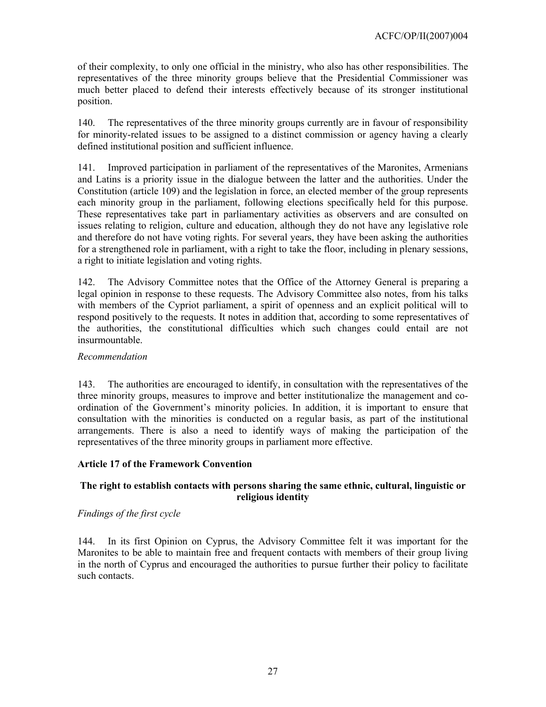of their complexity, to only one official in the ministry, who also has other responsibilities. The representatives of the three minority groups believe that the Presidential Commissioner was much better placed to defend their interests effectively because of its stronger institutional position.

140. The representatives of the three minority groups currently are in favour of responsibility for minority-related issues to be assigned to a distinct commission or agency having a clearly defined institutional position and sufficient influence.

141. Improved participation in parliament of the representatives of the Maronites, Armenians and Latins is a priority issue in the dialogue between the latter and the authorities. Under the Constitution (article 109) and the legislation in force, an elected member of the group represents each minority group in the parliament, following elections specifically held for this purpose. These representatives take part in parliamentary activities as observers and are consulted on issues relating to religion, culture and education, although they do not have any legislative role and therefore do not have voting rights. For several years, they have been asking the authorities for a strengthened role in parliament, with a right to take the floor, including in plenary sessions, a right to initiate legislation and voting rights.

142. The Advisory Committee notes that the Office of the Attorney General is preparing a legal opinion in response to these requests. The Advisory Committee also notes, from his talks with members of the Cypriot parliament, a spirit of openness and an explicit political will to respond positively to the requests. It notes in addition that, according to some representatives of the authorities, the constitutional difficulties which such changes could entail are not insurmountable.

### *Recommendation*

143. The authorities are encouraged to identify, in consultation with the representatives of the three minority groups, measures to improve and better institutionalize the management and coordination of the Government's minority policies. In addition, it is important to ensure that consultation with the minorities is conducted on a regular basis, as part of the institutional arrangements. There is also a need to identify ways of making the participation of the representatives of the three minority groups in parliament more effective.

## **Article 17 of the Framework Convention**

## **The right to establish contacts with persons sharing the same ethnic, cultural, linguistic or religious identity**

## *Findings of the first cycle*

144. In its first Opinion on Cyprus, the Advisory Committee felt it was important for the Maronites to be able to maintain free and frequent contacts with members of their group living in the north of Cyprus and encouraged the authorities to pursue further their policy to facilitate such contacts.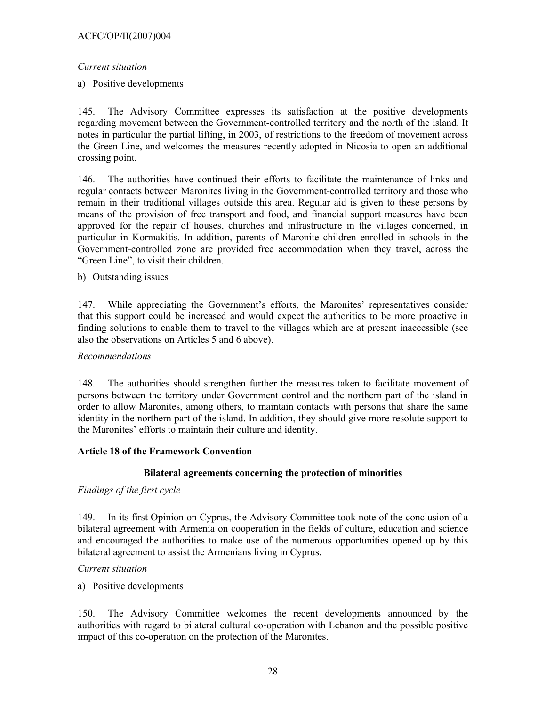## *Current situation*

a) Positive developments

145. The Advisory Committee expresses its satisfaction at the positive developments regarding movement between the Government-controlled territory and the north of the island. It notes in particular the partial lifting, in 2003, of restrictions to the freedom of movement across the Green Line, and welcomes the measures recently adopted in Nicosia to open an additional crossing point.

146. The authorities have continued their efforts to facilitate the maintenance of links and regular contacts between Maronites living in the Government-controlled territory and those who remain in their traditional villages outside this area. Regular aid is given to these persons by means of the provision of free transport and food, and financial support measures have been approved for the repair of houses, churches and infrastructure in the villages concerned, in particular in Kormakitis. In addition, parents of Maronite children enrolled in schools in the Government-controlled zone are provided free accommodation when they travel, across the "Green Line", to visit their children.

### b) Outstanding issues

147. While appreciating the Government's efforts, the Maronites' representatives consider that this support could be increased and would expect the authorities to be more proactive in finding solutions to enable them to travel to the villages which are at present inaccessible (see also the observations on Articles 5 and 6 above).

#### *Recommendations*

148. The authorities should strengthen further the measures taken to facilitate movement of persons between the territory under Government control and the northern part of the island in order to allow Maronites, among others, to maintain contacts with persons that share the same identity in the northern part of the island. In addition, they should give more resolute support to the Maronites' efforts to maintain their culture and identity.

## **Article 18 of the Framework Convention**

## **Bilateral agreements concerning the protection of minorities**

## *Findings of the first cycle*

149. In its first Opinion on Cyprus, the Advisory Committee took note of the conclusion of a bilateral agreement with Armenia on cooperation in the fields of culture, education and science and encouraged the authorities to make use of the numerous opportunities opened up by this bilateral agreement to assist the Armenians living in Cyprus.

#### *Current situation*

a) Positive developments

150. The Advisory Committee welcomes the recent developments announced by the authorities with regard to bilateral cultural co-operation with Lebanon and the possible positive impact of this co-operation on the protection of the Maronites.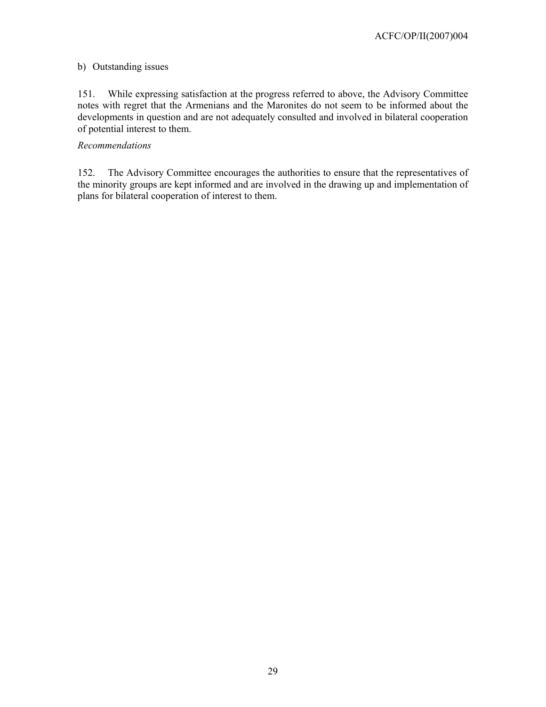### b) Outstanding issues

151. While expressing satisfaction at the progress referred to above, the Advisory Committee notes with regret that the Armenians and the Maronites do not seem to be informed about the developments in question and are not adequately consulted and involved in bilateral cooperation of potential interest to them.

#### *Recommendations*

152. The Advisory Committee encourages the authorities to ensure that the representatives of the minority groups are kept informed and are involved in the drawing up and implementation of plans for bilateral cooperation of interest to them.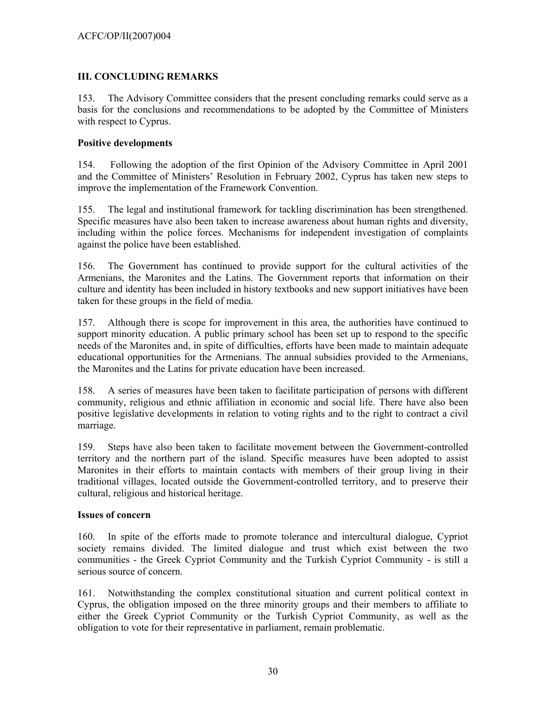## **III. CONCLUDING REMARKS**

153. The Advisory Committee considers that the present concluding remarks could serve as a basis for the conclusions and recommendations to be adopted by the Committee of Ministers with respect to Cyprus.

## **Positive developments**

154. Following the adoption of the first Opinion of the Advisory Committee in April 2001 and the Committee of Ministers' Resolution in February 2002, Cyprus has taken new steps to improve the implementation of the Framework Convention.

155. The legal and institutional framework for tackling discrimination has been strengthened. Specific measures have also been taken to increase awareness about human rights and diversity, including within the police forces. Mechanisms for independent investigation of complaints against the police have been established.

156. The Government has continued to provide support for the cultural activities of the Armenians, the Maronites and the Latins. The Government reports that information on their culture and identity has been included in history textbooks and new support initiatives have been taken for these groups in the field of media.

157. Although there is scope for improvement in this area, the authorities have continued to support minority education. A public primary school has been set up to respond to the specific needs of the Maronites and, in spite of difficulties, efforts have been made to maintain adequate educational opportunities for the Armenians. The annual subsidies provided to the Armenians, the Maronites and the Latins for private education have been increased.

158. A series of measures have been taken to facilitate participation of persons with different community, religious and ethnic affiliation in economic and social life. There have also been positive legislative developments in relation to voting rights and to the right to contract a civil marriage.

159. Steps have also been taken to facilitate movement between the Government-controlled territory and the northern part of the island. Specific measures have been adopted to assist Maronites in their efforts to maintain contacts with members of their group living in their traditional villages, located outside the Government-controlled territory, and to preserve their cultural, religious and historical heritage.

## **Issues of concern**

160. In spite of the efforts made to promote tolerance and intercultural dialogue, Cypriot society remains divided. The limited dialogue and trust which exist between the two communities - the Greek Cypriot Community and the Turkish Cypriot Community - is still a serious source of concern.

161. Notwithstanding the complex constitutional situation and current political context in Cyprus, the obligation imposed on the three minority groups and their members to affiliate to either the Greek Cypriot Community or the Turkish Cypriot Community, as well as the obligation to vote for their representative in parliament, remain problematic.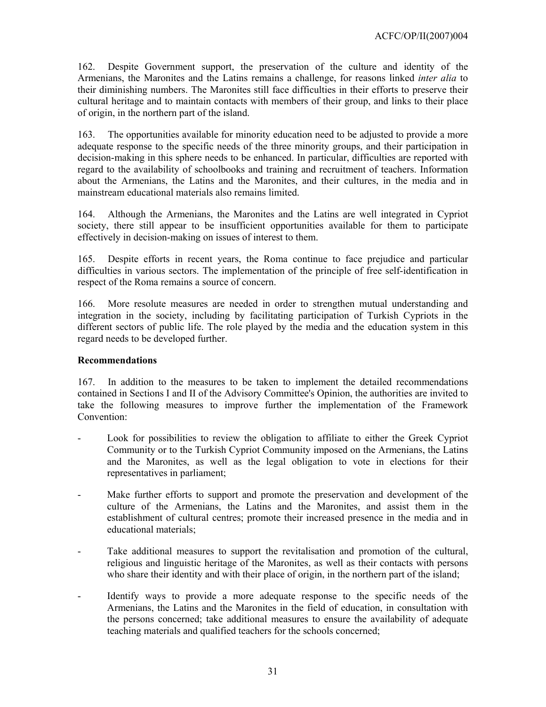162. Despite Government support, the preservation of the culture and identity of the Armenians, the Maronites and the Latins remains a challenge, for reasons linked *inter alia* to their diminishing numbers. The Maronites still face difficulties in their efforts to preserve their cultural heritage and to maintain contacts with members of their group, and links to their place of origin, in the northern part of the island.

163. The opportunities available for minority education need to be adjusted to provide a more adequate response to the specific needs of the three minority groups, and their participation in decision-making in this sphere needs to be enhanced. In particular, difficulties are reported with regard to the availability of schoolbooks and training and recruitment of teachers. Information about the Armenians, the Latins and the Maronites, and their cultures, in the media and in mainstream educational materials also remains limited.

164. Although the Armenians, the Maronites and the Latins are well integrated in Cypriot society, there still appear to be insufficient opportunities available for them to participate effectively in decision-making on issues of interest to them.

165. Despite efforts in recent years, the Roma continue to face prejudice and particular difficulties in various sectors. The implementation of the principle of free self-identification in respect of the Roma remains a source of concern.

166. More resolute measures are needed in order to strengthen mutual understanding and integration in the society, including by facilitating participation of Turkish Cypriots in the different sectors of public life. The role played by the media and the education system in this regard needs to be developed further.

## **Recommendations**

167. In addition to the measures to be taken to implement the detailed recommendations contained in Sections I and II of the Advisory Committee's Opinion, the authorities are invited to take the following measures to improve further the implementation of the Framework Convention:

- Look for possibilities to review the obligation to affiliate to either the Greek Cypriot Community or to the Turkish Cypriot Community imposed on the Armenians, the Latins and the Maronites, as well as the legal obligation to vote in elections for their representatives in parliament;
- Make further efforts to support and promote the preservation and development of the culture of the Armenians, the Latins and the Maronites, and assist them in the establishment of cultural centres; promote their increased presence in the media and in educational materials;
- Take additional measures to support the revitalisation and promotion of the cultural, religious and linguistic heritage of the Maronites, as well as their contacts with persons who share their identity and with their place of origin, in the northern part of the island;
- Identify ways to provide a more adequate response to the specific needs of the Armenians, the Latins and the Maronites in the field of education, in consultation with the persons concerned; take additional measures to ensure the availability of adequate teaching materials and qualified teachers for the schools concerned;